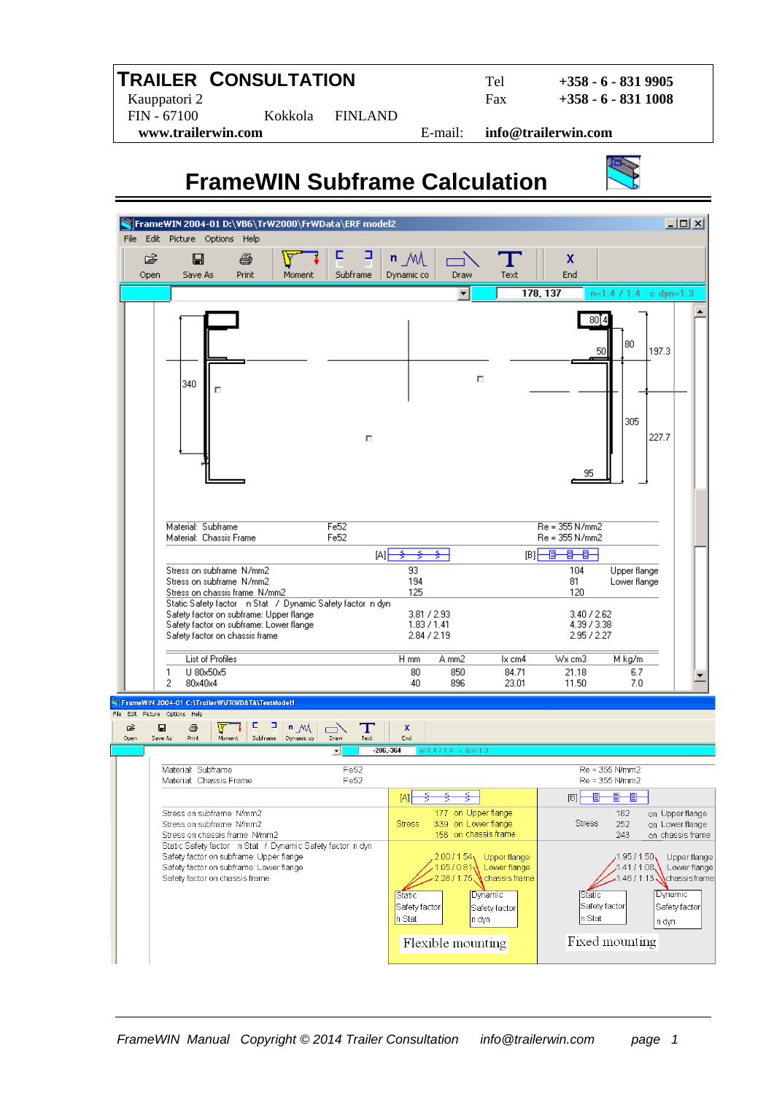### **TRAILER CONSULTATION** Tel **+358 - 6 - 831 9905**

 Kauppatori 2 Fax **+358 - 6 - 831 1008**  FIN - 67100 Kokkola FINLAND  **www.trailerwin.com** E-mail: **info@trailerwin.com** 

# **FrameWIN Subframe Calculation**

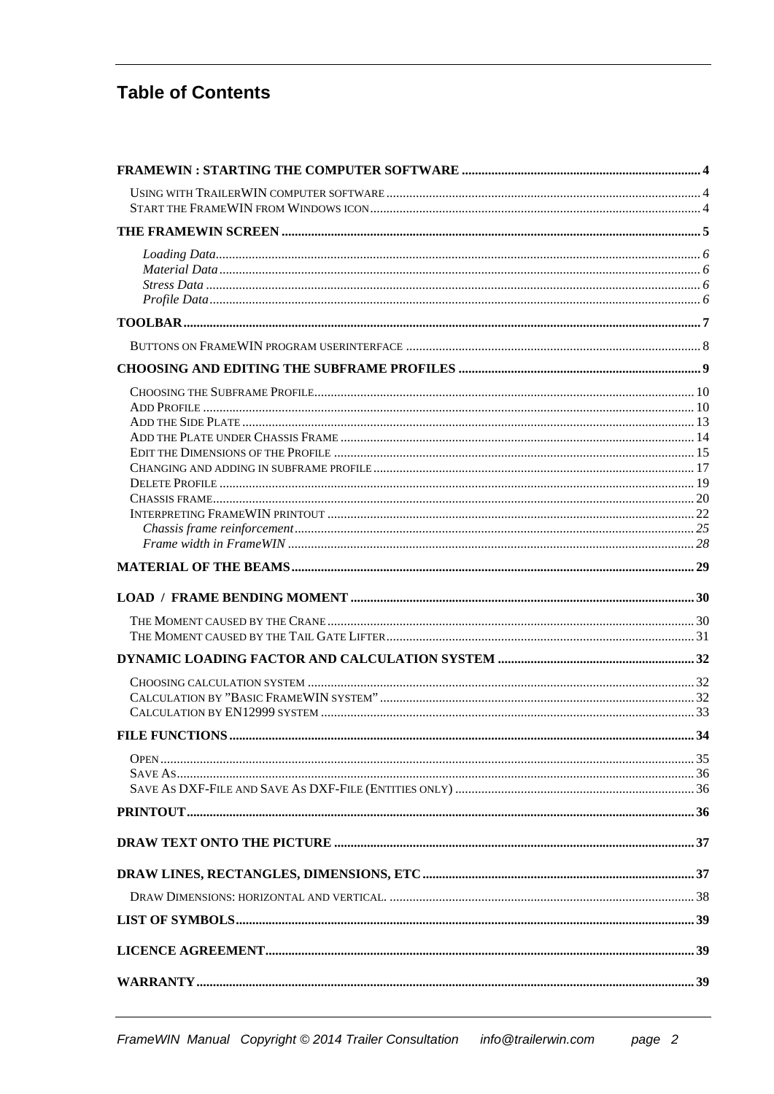### **Table of Contents**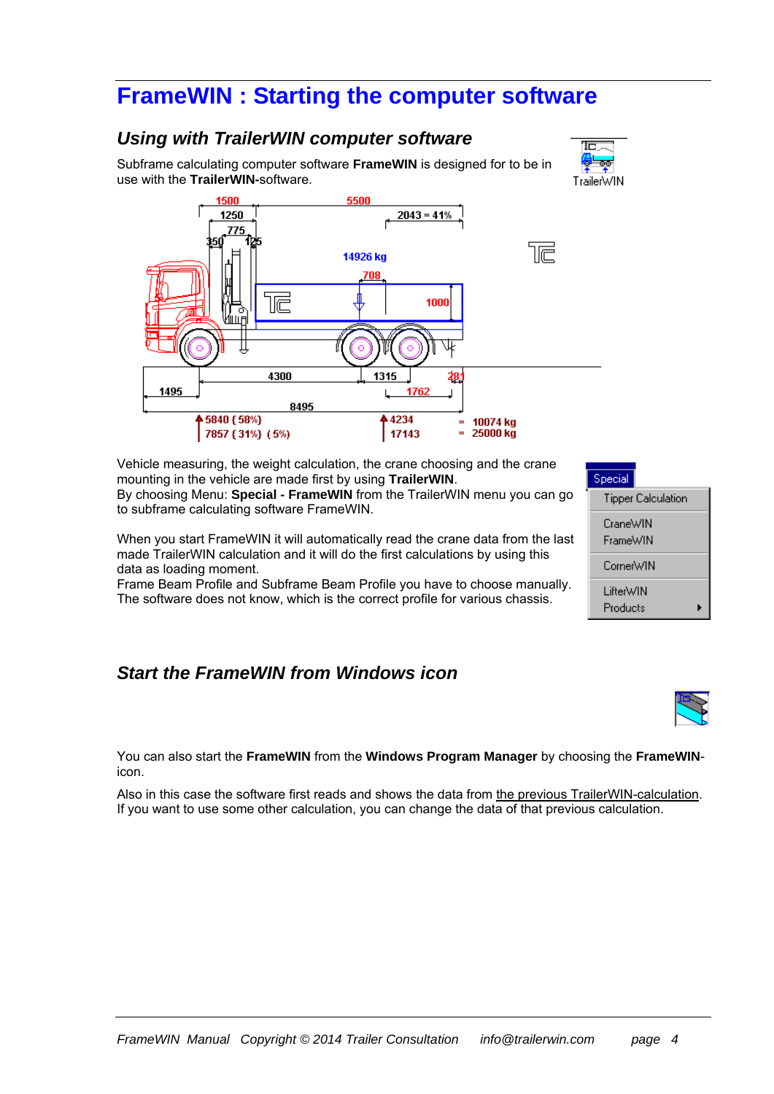## **FrameWIN : Starting the computer software**

#### *Using with TrailerWIN computer software*

Subframe calculating computer software **FrameWIN** is designed for to be in use with the **TrailerWIN-**software.





Vehicle measuring, the weight calculation, the crane choosing and the crane mounting in the vehicle are made first by using **TrailerWIN**. By choosing Menu: **Special - FrameWIN** from the TrailerWIN menu you can go to subframe calculating software FrameWIN.

When you start FrameWIN it will automatically read the crane data from the last made TrailerWIN calculation and it will do the first calculations by using this data as loading moment.

Frame Beam Profile and Subframe Beam Profile you have to choose manually. The software does not know, which is the correct profile for various chassis.

### *Start the FrameWIN from Windows icon*





You can also start the **FrameWIN** from the **Windows Program Manager** by choosing the **FrameWIN**icon.

Also in this case the software first reads and shows the data from the previous TrailerWIN-calculation. If you want to use some other calculation, you can change the data of that previous calculation.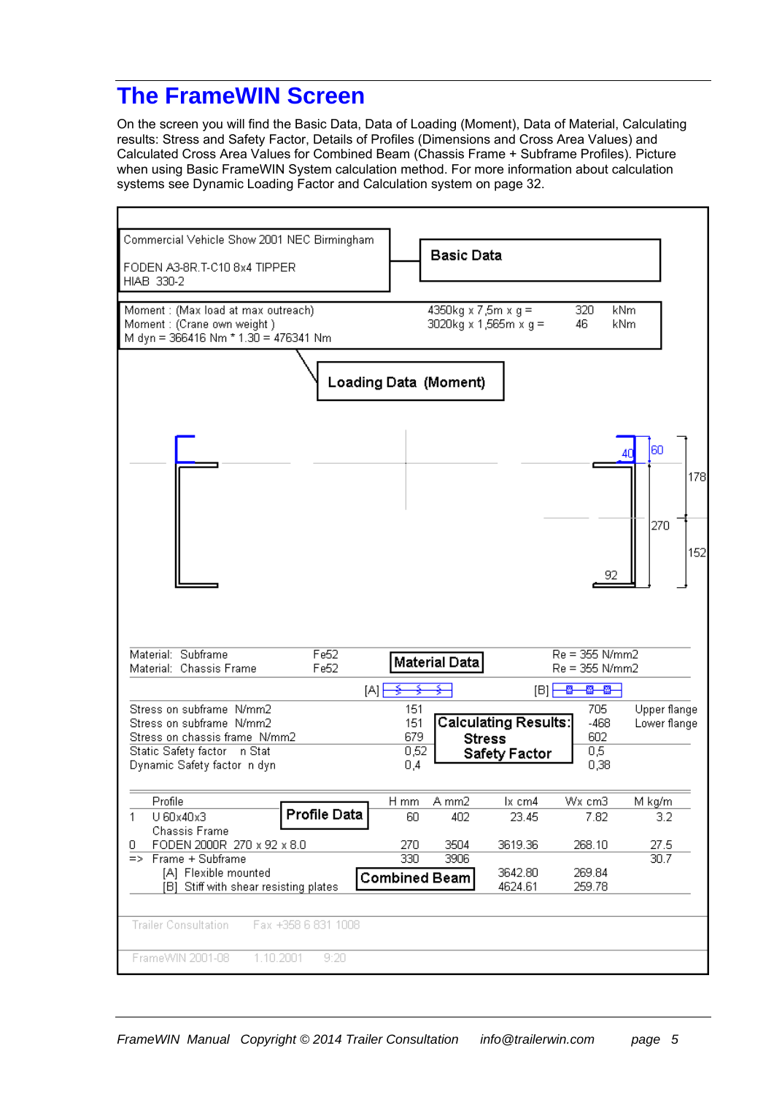## **The FrameWIN Screen**

On the screen you will find the Basic Data, Data of Loading (Moment), Data of Material, Calculating results: Stress and Safety Factor, Details of Profiles (Dimensions and Cross Area Values) and Calculated Cross Area Values for Combined Beam (Chassis Frame + Subframe Profiles). Picture when using Basic FrameWIN System calculation method. For more information about calculation systems see Dynamic Loading Factor and Calculation system on page 32.

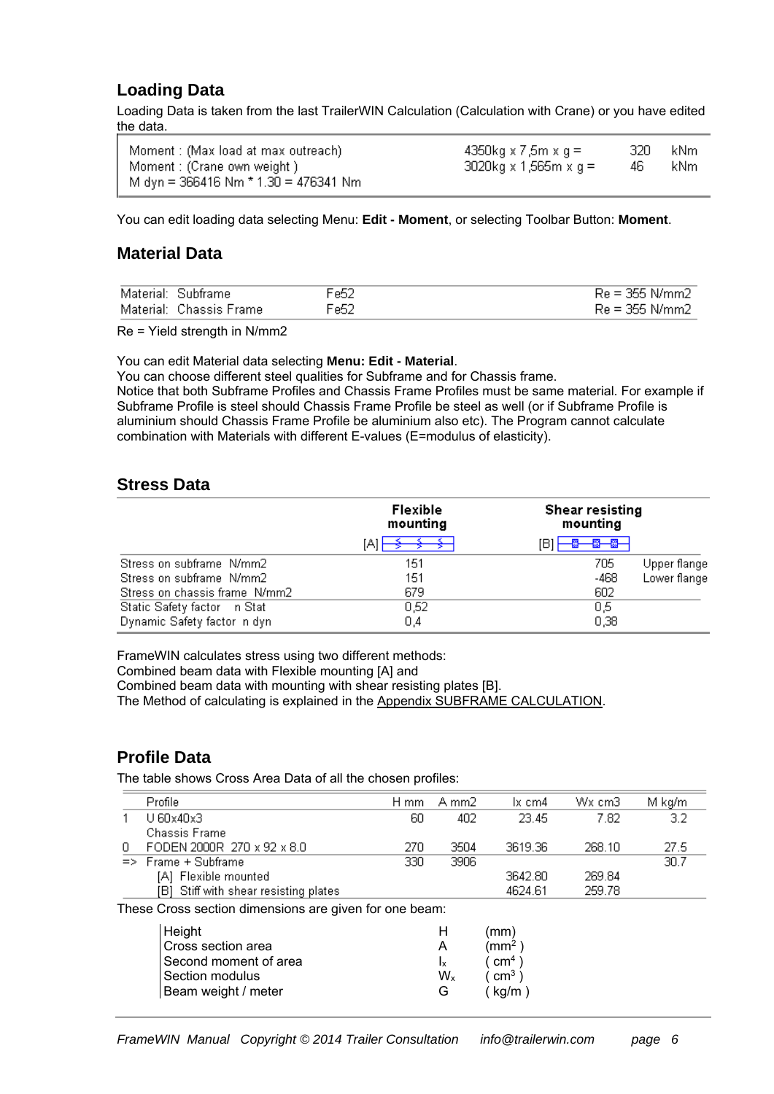#### **Loading Data**

Loading Data is taken from the last TrailerWIN Calculation (Calculation with Crane) or you have edited the data.

| Moment : (Max load at max outreach)    | 4350kg x 7,5m x g =      | -320 - | kNm. |
|----------------------------------------|--------------------------|--------|------|
| Moment : (Crane own weight)            | $3020$ kg x 1,565m x g = | 46     | kNm  |
| M dyn = 366416 Nm $*$ 1.30 = 476341 Nm |                          |        |      |

You can edit loading data selecting Menu: **Edit - Moment**, or selecting Toolbar Button: **Moment**.

#### **Material Data**

| Material: Subframe      | Fe52 | $Re = 355$ N/mm2 |
|-------------------------|------|------------------|
| Material: Chassis Frame | Fe52 | $Re = 355$ N/mm2 |

Re = Yield strength in N/mm2

You can edit Material data selecting **Menu: Edit - Material**.

You can choose different steel qualities for Subframe and for Chassis frame.

Notice that both Subframe Profiles and Chassis Frame Profiles must be same material. For example if Subframe Profile is steel should Chassis Frame Profile be steel as well (or if Subframe Profile is aluminium should Chassis Frame Profile be aluminium also etc). The Program cannot calculate combination with Materials with different E-values (E=modulus of elasticity).

#### **Stress Data**

|                               | Flexible<br>mounting | <b>Shear resisting</b><br>mounting |
|-------------------------------|----------------------|------------------------------------|
|                               | ΙAΙ                  | [B]<br>-89—89-                     |
| Stress on subframe N/mm2      | 151                  | 705<br>Upper flange                |
| Stress on subframe N/mm2      | 151                  | Lower flange<br>-468               |
| Stress on chassis frame N/mm2 | 679                  | 602                                |
| Static Safety factor = n Stat | 0,52                 | 0,5                                |
| Dynamic Safety factor in dyn  | 0,4                  | 0,38                               |

FrameWIN calculates stress using two different methods: Combined beam data with Flexible mounting [A] and Combined beam data with mounting with shear resisting plates [B]. The Method of calculating is explained in the Appendix SUBFRAME CALCULATION.

#### **Profile Data**

The table shows Cross Area Data of all the chosen profiles:

|                                                        | Profile                               | H mm | A mm2 | lx cm4  | Wx cm3 | M kg/m |
|--------------------------------------------------------|---------------------------------------|------|-------|---------|--------|--------|
|                                                        | $U$ 60x40x3                           | 60   | 402   | 23.45   | 7.82   | 3.2    |
|                                                        | <b>Chassis Frame</b>                  |      |       |         |        |        |
| 0                                                      | FODEN 2000R 270 x 92 x 8.0            | 270  | 3504  | 3619.36 | 268.10 | 27.5   |
|                                                        | $\Rightarrow$ Frame + Subframe        | 330  | 3906  |         |        | 30.7   |
|                                                        | [A] Flexible mounted                  |      |       | 3642.80 | 269.84 |        |
|                                                        | [B] Stiff with shear resisting plates |      |       | 4624.61 | 259.78 |        |
| These Cross section dimensions are given for one beam: |                                       |      |       |         |        |        |
|                                                        | Height                                |      | н     | (mm     |        |        |

|                | (THITI)            |
|----------------|--------------------|
|                | (mm <sup>2</sup> ) |
|                | (m <sup>4</sup> )  |
| W <sub>x</sub> | (m <sup>3</sup> )  |
| G              | (kq/m)             |
|                |                    |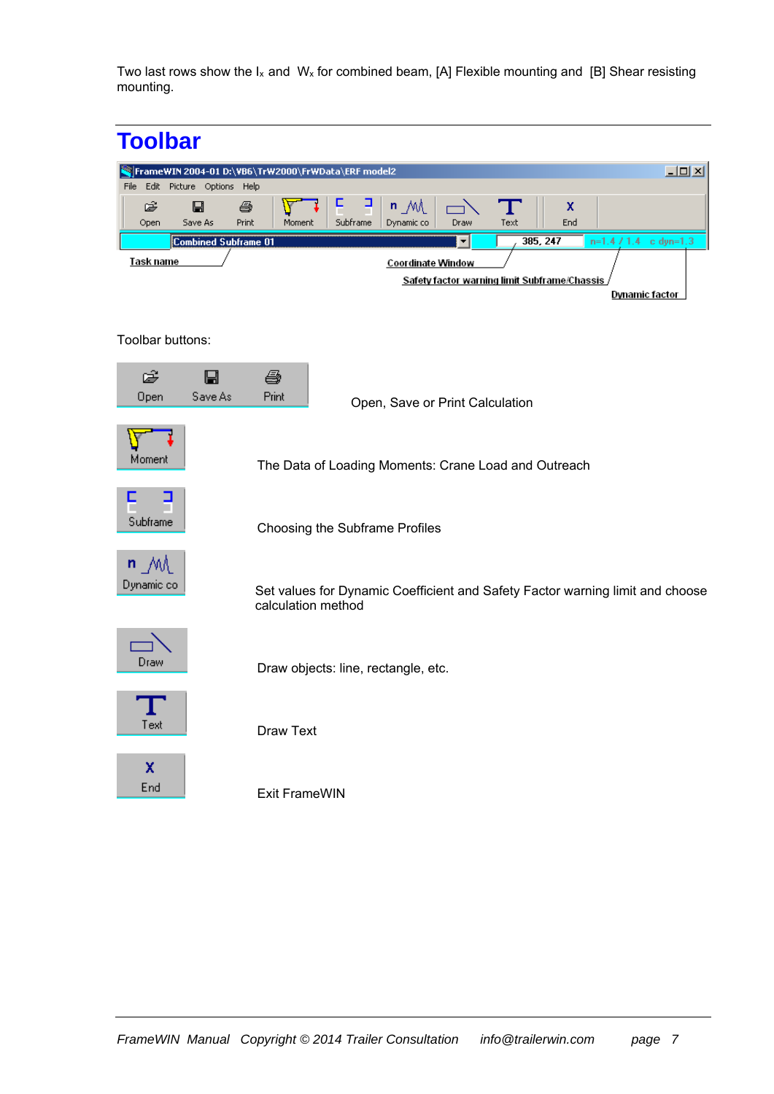Two last rows show the  $I_x$  and  $W_x$  for combined beam, [A] Flexible mounting and [B] Shear resisting mounting.

| <b>Toolbar</b>                                       |                                                                                                     |
|------------------------------------------------------|-----------------------------------------------------------------------------------------------------|
|                                                      | $\Box$<br>  FrameWIN 2004-01 D:\VB6\TrW2000\FrWData\ERF model2                                      |
| Edit Picture Options Help<br>File                    |                                                                                                     |
| Ê<br>$\blacksquare$<br>ê<br>Print<br>Open<br>Save As | F<br>⊒<br>$n_M$<br>x<br>Text<br>Subframe<br>Dynamic co<br>Draw<br>End<br>Moment                     |
| <b>Combined Subframe 01</b>                          | 385, 247<br>$n=1.471.4$<br>▼<br>$c$ dyn=1.3                                                         |
| <u>Task name</u>                                     | <b>Coordinate Window</b>                                                                            |
|                                                      | Safety factor warning limit Subframe/Chassis                                                        |
|                                                      | <b>Dynamic factor</b>                                                                               |
| Toolbar buttons:                                     |                                                                                                     |
|                                                      |                                                                                                     |
| Ê<br>⊟                                               | ê                                                                                                   |
| Save As<br>Open                                      | Print<br>Open, Save or Print Calculation                                                            |
|                                                      |                                                                                                     |
|                                                      |                                                                                                     |
| Moment                                               | The Data of Loading Moments: Crane Load and Outreach                                                |
|                                                      |                                                                                                     |
|                                                      |                                                                                                     |
| Subframe                                             | Choosing the Subframe Profiles                                                                      |
|                                                      |                                                                                                     |
| $n \mathcal{M}$                                      |                                                                                                     |
| Dynamic co                                           | Set values for Dynamic Coefficient and Safety Factor warning limit and choose<br>calculation method |
|                                                      |                                                                                                     |
|                                                      |                                                                                                     |
| Draw                                                 | Draw objects: line, rectangle, etc.                                                                 |
|                                                      |                                                                                                     |
|                                                      |                                                                                                     |
| Text                                                 | <b>Draw Text</b>                                                                                    |
|                                                      |                                                                                                     |
| X                                                    |                                                                                                     |
| End                                                  | <b>Exit FrameWIN</b>                                                                                |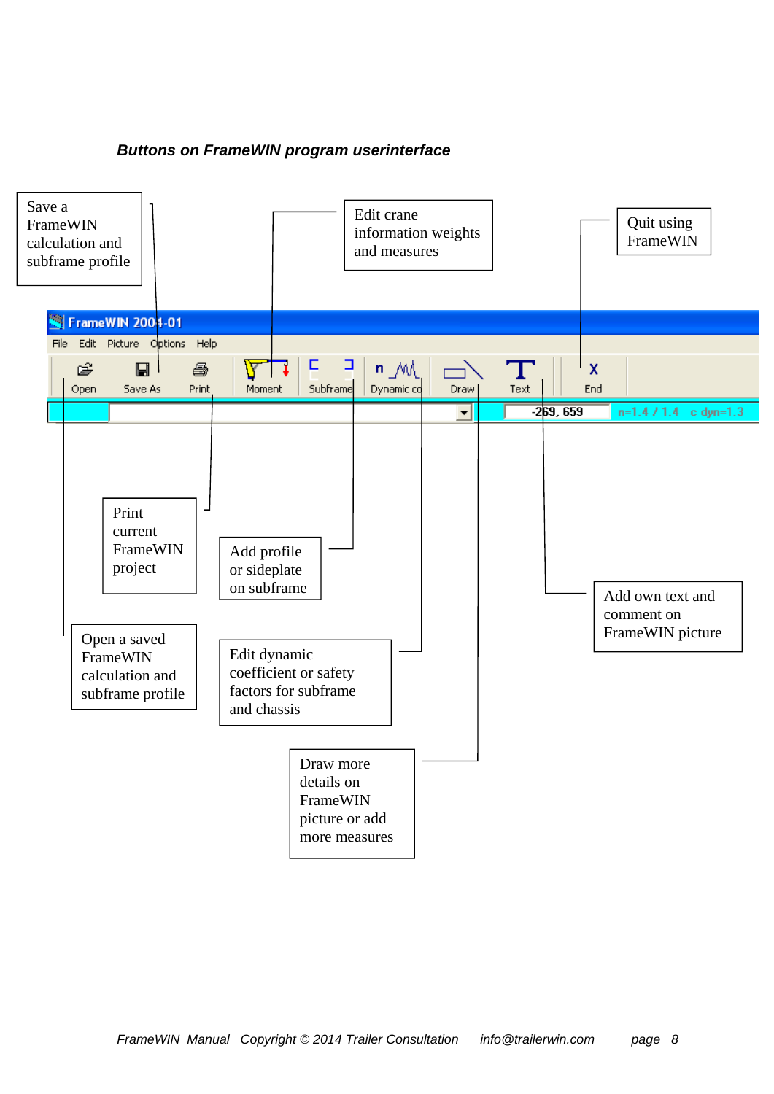#### *Buttons on FrameWIN program userinterface*

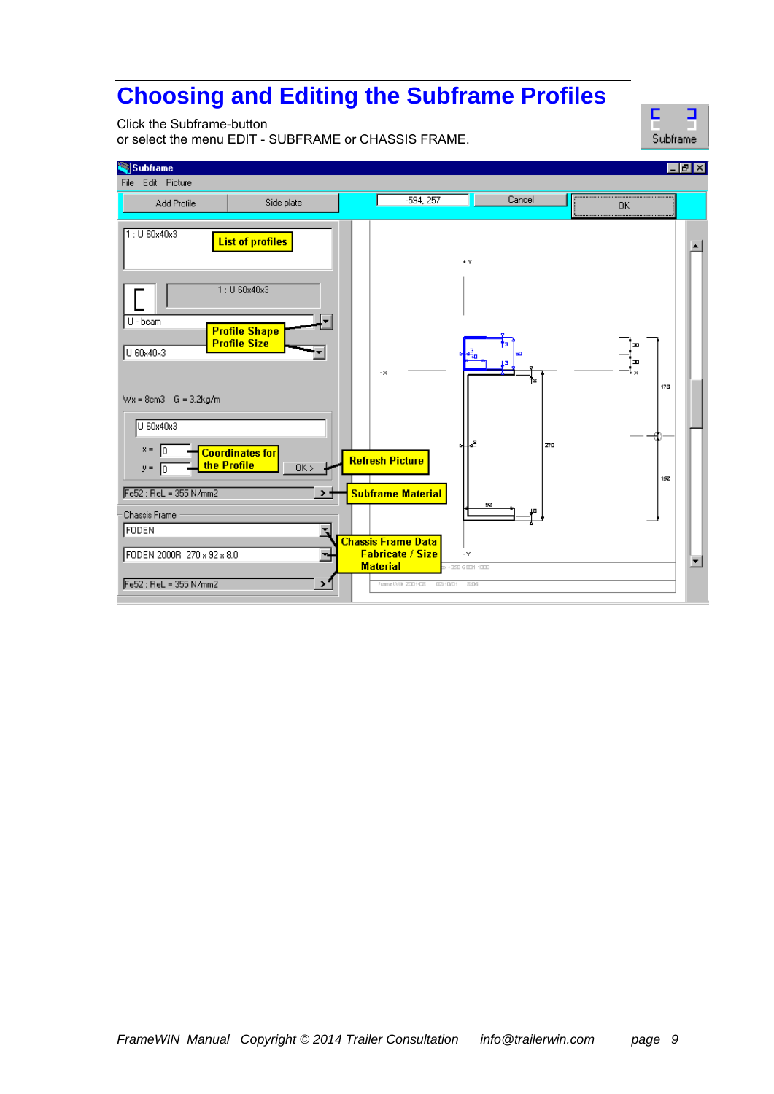# **Choosing and Editing the Subframe Profiles**

Click the Subframe-button

or select the menu EDIT - SUBFRAME or CHASSIS FRAME.



| Edit Picture<br><b>File</b><br>$-594, 257$<br>Cancel<br>Side plate<br>Add Profile<br>0K<br>1:U 60x40x3<br><b>List of profiles</b><br>$\star$ $\curlyvee$<br>1:U 60x40x3<br>U - beam<br><b>Profile Shape</b><br><b>Profile Size</b><br>Œ<br>U 60x40x3<br>æ<br>ш<br>۰×<br>$\cdot \times$<br>ŤЗ<br>178<br>$Wx = 8cm3$ G = 3.2kg/m<br>U 60x40x3<br>ᆇ<br>Z70<br>$x =  0$<br><b>Coordinates for</b><br><b>Refresh Picture</b><br>the Profile<br>OK ><br>$y =  0$<br>152<br>Fe52: ReL = 355 N/mm2<br><b>Subframe Material</b><br>→ 1<br>92<br><b>Chassis Frame</b><br>FODEN<br><b>Chassis Frame Data</b> | Subframe                                                                 | $ F$ $x$ |
|---------------------------------------------------------------------------------------------------------------------------------------------------------------------------------------------------------------------------------------------------------------------------------------------------------------------------------------------------------------------------------------------------------------------------------------------------------------------------------------------------------------------------------------------------------------------------------------------------|--------------------------------------------------------------------------|----------|
|                                                                                                                                                                                                                                                                                                                                                                                                                                                                                                                                                                                                   |                                                                          |          |
|                                                                                                                                                                                                                                                                                                                                                                                                                                                                                                                                                                                                   |                                                                          |          |
| <b>Material</b><br>Fe52 : ReL = 355 N/mm2<br>᠈<br>Frame WIN 2001-08<br>02/10/01<br>8:06                                                                                                                                                                                                                                                                                                                                                                                                                                                                                                           | <b>Fabricate / Size</b><br>FODEN 2000R 270 x 92 x 8.0<br>τ,<br>$\cdot$ Y |          |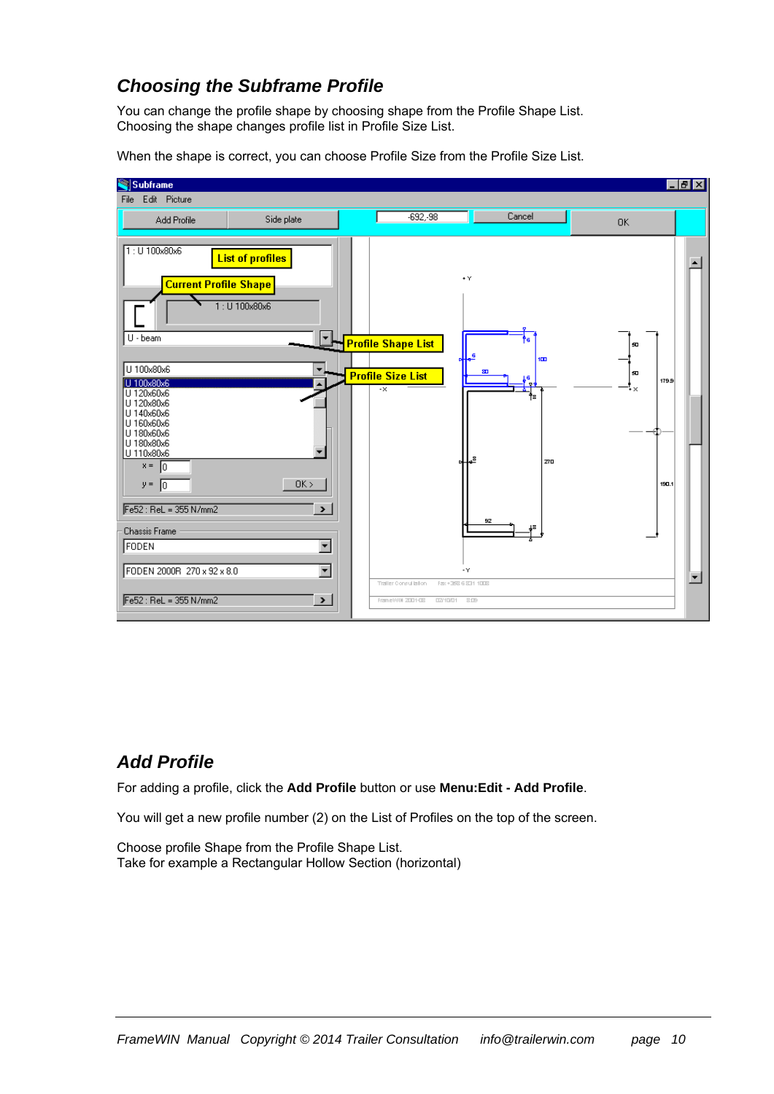#### *Choosing the Subframe Profile*

You can change the profile shape by choosing shape from the Profile Shape List. Choosing the shape changes profile list in Profile Size List.



When the shape is correct, you can choose Profile Size from the Profile Size List.

### *Add Profile*

For adding a profile, click the **Add Profile** button or use **Menu:Edit - Add Profile**.

You will get a new profile number (2) on the List of Profiles on the top of the screen.

Choose profile Shape from the Profile Shape List. Take for example a Rectangular Hollow Section (horizontal)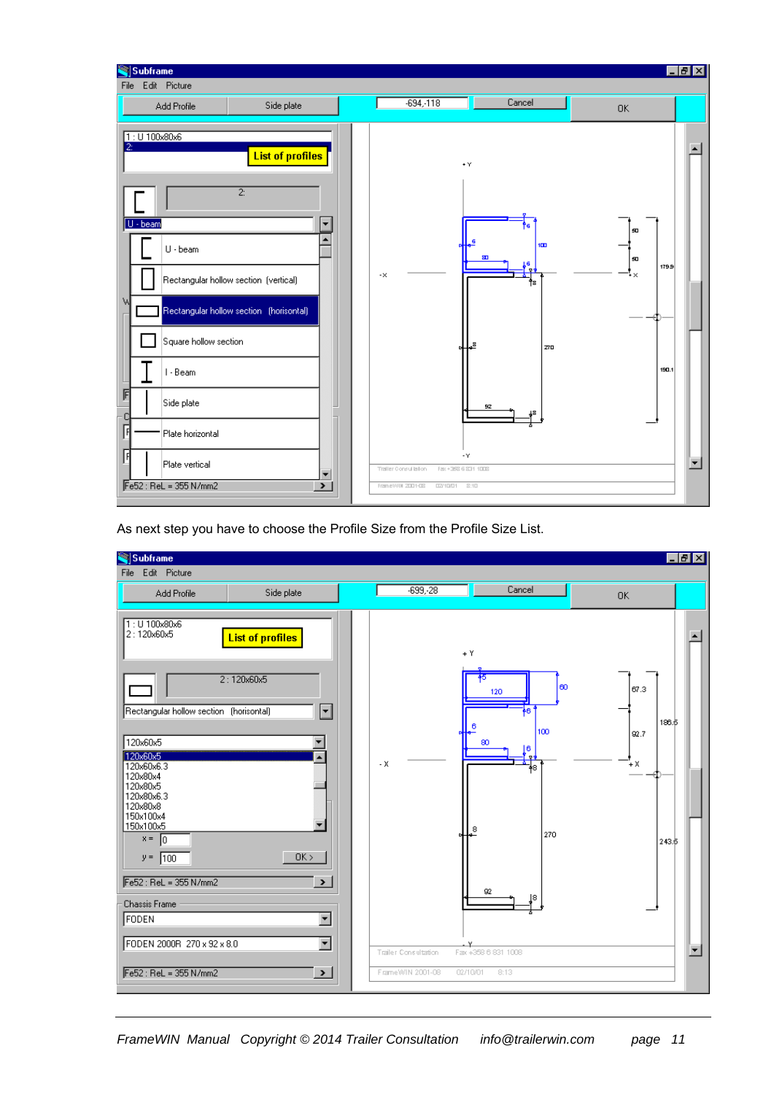| Subframe<br>Edit Picture<br>File                                                                                                                                                 |                                                                                                                                                          |                                 |                       |                                                                               |                                                                 |                                  | $\Box$ e $\mathbf{X}$ |
|----------------------------------------------------------------------------------------------------------------------------------------------------------------------------------|----------------------------------------------------------------------------------------------------------------------------------------------------------|---------------------------------|-----------------------|-------------------------------------------------------------------------------|-----------------------------------------------------------------|----------------------------------|-----------------------|
| Add Profile                                                                                                                                                                      | Side plate                                                                                                                                               |                                 |                       | $-694 - 118$                                                                  | Cancel                                                          | <b>OK</b>                        |                       |
| $1:U$ 100x80x6<br>$\vert$ 2:<br>   U - beam<br>$U \cdot$ beam<br>W<br>I - Beam<br>呞<br>Side plate<br>C<br>凮<br>Plate horizontal<br>曱<br>Plate vertical<br>Fe52 : ReL = 355 N/mm2 | <b>List of profiles</b><br>$\overline{2}$ :<br>Rectangular hollow section (vertical)<br>Rectangular hollow section (horisontal)<br>Square hollow section | ÷<br>٠<br>$\blacktriangleright$ | $\mathord{\text{-x}}$ | Fax: +358 6 831 1008<br>Traffer Consultation<br>Frame WIN 2001-08<br>02/10/01 | $+Y$<br>100<br>øπ<br>'s<br>s.<br><b>Z70</b><br>92<br>٠Y<br>2:10 | 50<br>50<br>179.9<br>۰×<br>190.1 | $\blacktriangledown$  |
|                                                                                                                                                                                  |                                                                                                                                                          |                                 |                       |                                                                               |                                                                 |                                  |                       |

As next step you have to choose the Profile Size from the Profile Size List.

| Subframe                                                                                                                                                                                                                                                                                                                         |                                                                                                                   |       |                      |                                                            |                                         |                                      | <b>Celx</b>                              |
|----------------------------------------------------------------------------------------------------------------------------------------------------------------------------------------------------------------------------------------------------------------------------------------------------------------------------------|-------------------------------------------------------------------------------------------------------------------|-------|----------------------|------------------------------------------------------------|-----------------------------------------|--------------------------------------|------------------------------------------|
| File Edit Picture                                                                                                                                                                                                                                                                                                                |                                                                                                                   |       |                      |                                                            |                                         |                                      |                                          |
| Add Profile                                                                                                                                                                                                                                                                                                                      | Side plate                                                                                                        |       | $-699, -28$          |                                                            | Cancel                                  | 0K                                   |                                          |
| 1: U 100x80x6<br>2:120x60x5<br>2:120x60x5<br>Rectangular hollow section (horisontal)<br>120x60x5<br>120x60x5<br>120x60x6.3<br>120x80x4<br>120x80x5<br>120x80x6.3<br>120x80x8<br>150x100x4<br>150x100x5<br>$x = \boxed{0}$<br>$y = 100$<br>$Fe52: ReL = 355 N/mm2$<br><b>Chassis Frame</b><br>FODEN<br>FODEN 2000R 270 x 92 x 8.0 | <b>List of profiles</b><br>⊡<br>OK ><br>$\blacktriangleright$<br>$\overline{\phantom{a}}$<br>$\blacktriangledown$ | $- x$ | Trailer Consultation | $+Y$<br>45<br>120<br>80<br>8<br>92<br>Fax: +358 6 831 1008 | 60<br>6<br>100<br>16<br>łЗ<br>270<br>18 | 67.3<br>186.5<br>92.7<br>ΉX<br>243.5 | $\blacktriangle$<br>$\blacktriangledown$ |
| $Fe52: ReL = 355 N/mm2$                                                                                                                                                                                                                                                                                                          | $\rightarrow$                                                                                                     |       | FrameWIN 2001-08     | 8:13<br>02/10/01                                           |                                         |                                      |                                          |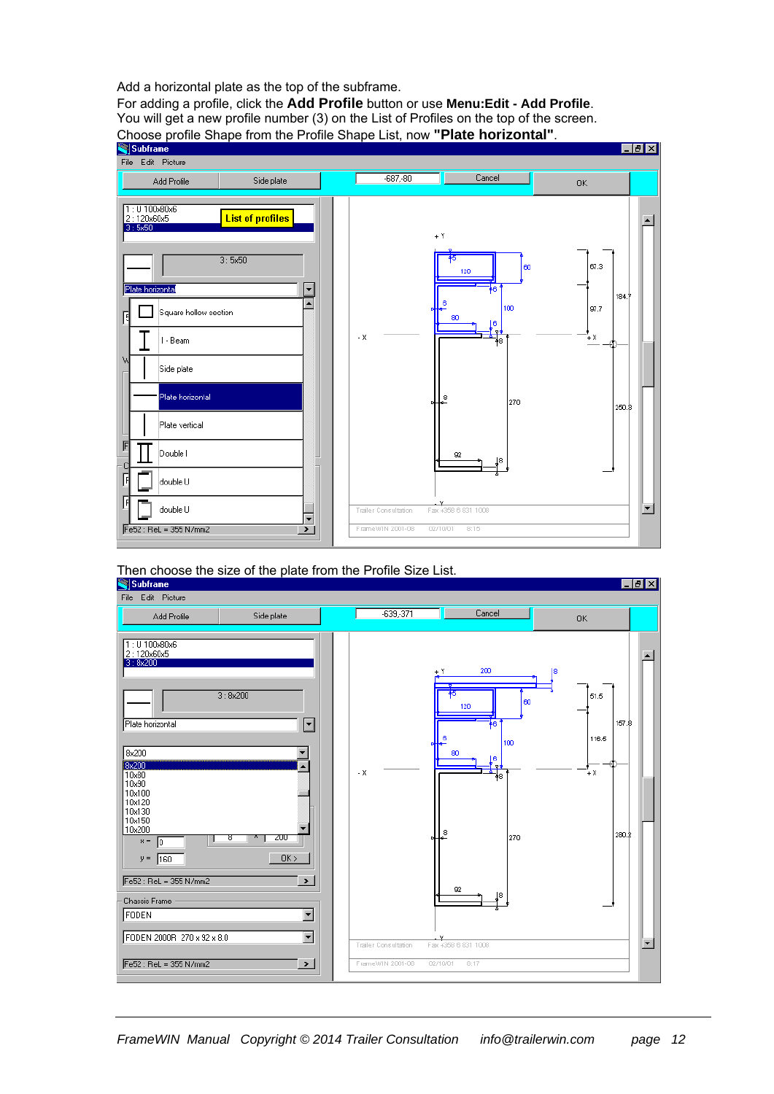Add a horizontal plate as the top of the subframe.

For adding a profile, click the **Add Profile** button or use **Menu:Edit - Add Profile**. You will get a new profile number (3) on the List of Profiles on the top of the screen. Choose profile Shape from the Profile Shape List, now **"Plate horizontal"**.



# Then choose the size of the plate from the Profile Size List.

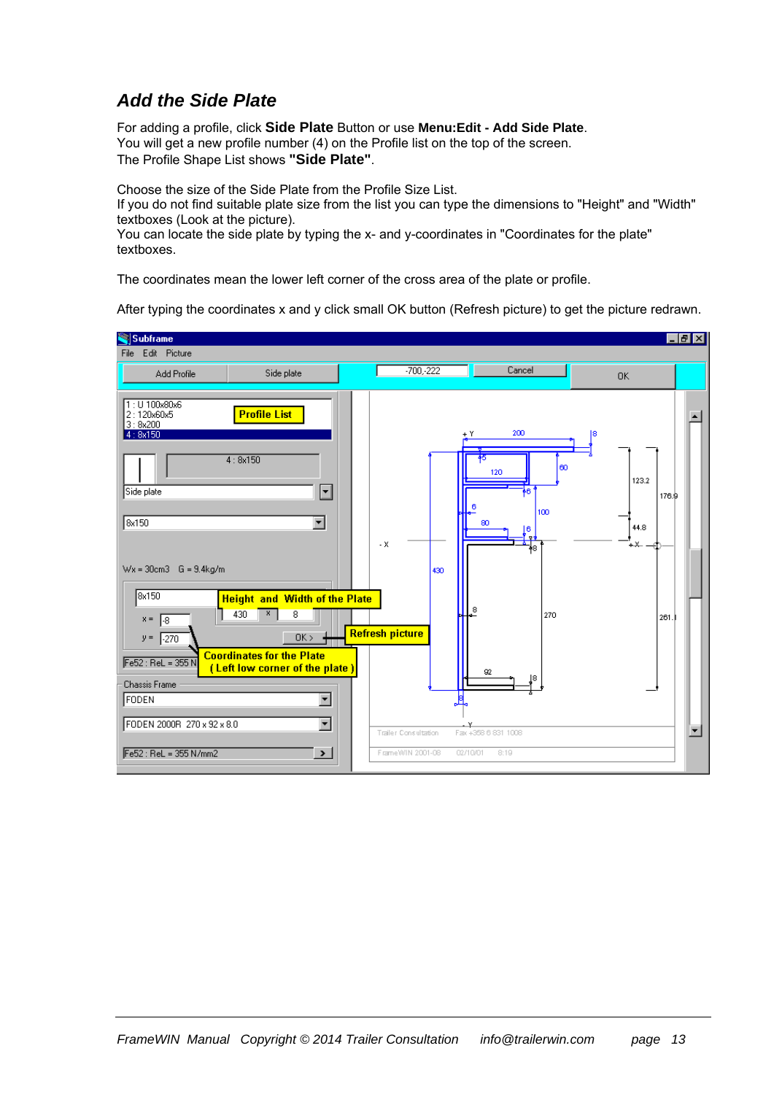### *Add the Side Plate*

For adding a profile, click **Side Plate** Button or use **Menu:Edit - Add Side Plate**. You will get a new profile number (4) on the Profile list on the top of the screen. The Profile Shape List shows **"Side Plate"**.

Choose the size of the Side Plate from the Profile Size List.

If you do not find suitable plate size from the list you can type the dimensions to "Height" and "Width" textboxes (Look at the picture).

You can locate the side plate by typing the x- and y-coordinates in "Coordinates for the plate" textboxes.

The coordinates mean the lower left corner of the cross area of the plate or profile.

After typing the coordinates x and y click small OK button (Refresh picture) to get the picture redrawn.

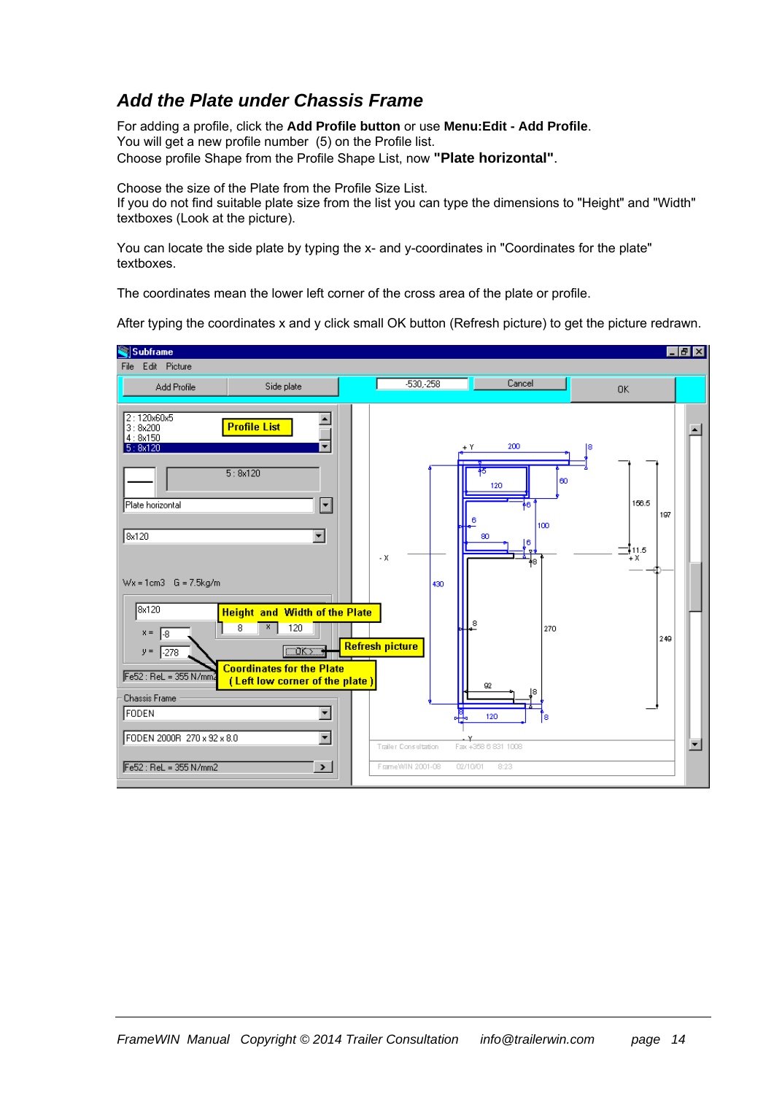#### *Add the Plate under Chassis Frame*

For adding a profile, click the **Add Profile button** or use **Menu:Edit - Add Profile**. You will get a new profile number (5) on the Profile list. Choose profile Shape from the Profile Shape List, now **"Plate horizontal"**.

Choose the size of the Plate from the Profile Size List. If you do not find suitable plate size from the list you can type the dimensions to "Height" and "Width" textboxes (Look at the picture).

You can locate the side plate by typing the x- and y-coordinates in "Coordinates for the plate" textboxes.

The coordinates mean the lower left corner of the cross area of the plate or profile.

After typing the coordinates x and y click small OK button (Refresh picture) to get the picture redrawn.

| Subframe                                                                                                                                                                                                                                                                                      |                                                                                                                                                                                                                                                                                                 |                                   |                                                               |                                                                                                                                                          |                                                    | $E$ $E$ $X$ |
|-----------------------------------------------------------------------------------------------------------------------------------------------------------------------------------------------------------------------------------------------------------------------------------------------|-------------------------------------------------------------------------------------------------------------------------------------------------------------------------------------------------------------------------------------------------------------------------------------------------|-----------------------------------|---------------------------------------------------------------|----------------------------------------------------------------------------------------------------------------------------------------------------------|----------------------------------------------------|-------------|
| Edit Picture<br>File                                                                                                                                                                                                                                                                          |                                                                                                                                                                                                                                                                                                 |                                   |                                                               |                                                                                                                                                          |                                                    |             |
| Add Profile                                                                                                                                                                                                                                                                                   | Side plate                                                                                                                                                                                                                                                                                      |                                   | $-530,-258$                                                   | Cancel                                                                                                                                                   | <b>OK</b>                                          |             |
| 2:120x60x5<br>3:8x200<br>4:8x150<br>5:8x120<br>Plate horizontal<br>8x120<br>$Wx = 1cm3$ G = 7.5kg/m<br>8x120<br>$x =$<br>$\mathbb{L}^8$<br>$y =$<br>$\sqrt{-278}$<br>$Fe52: ReL = 355 N/mm$<br><b>Chassis Frame</b><br><b>FODEN</b><br>FODEN 2000R 270 x 92 x 8.0<br>$Fe52 : ReL = 355 N/mm2$ | <b>Profile List</b><br>5:8x120<br>$\blacktriangledown$<br>$\blacktriangledown$<br><b>Height and Width of the Plate</b><br>8<br>x.<br>120<br>CORZ<br><b>Coordinates for the Plate</b><br>(Left low corner of the plate)<br>$\blacktriangledown$<br>$\blacktriangledown$<br>$\blacktriangleright$ | . $\mathsf{X}$<br>Refresh picture | 430<br>$\ddot{H}$<br>Trailer Consultation<br>FrameWIN 2001-08 | 200<br>$+Y$<br>lΘO<br>120<br>١6<br>100<br>80<br>6<br>$\mathbf{P}$<br>48<br>8<br>270<br>92<br>l8<br>120<br>Γs.<br>Fax +358 6 831 1008<br>8:23<br>02/10/01 | 18<br>156.5<br>197<br>$\equiv$ 11.5<br>$+X$<br>249 | ▼           |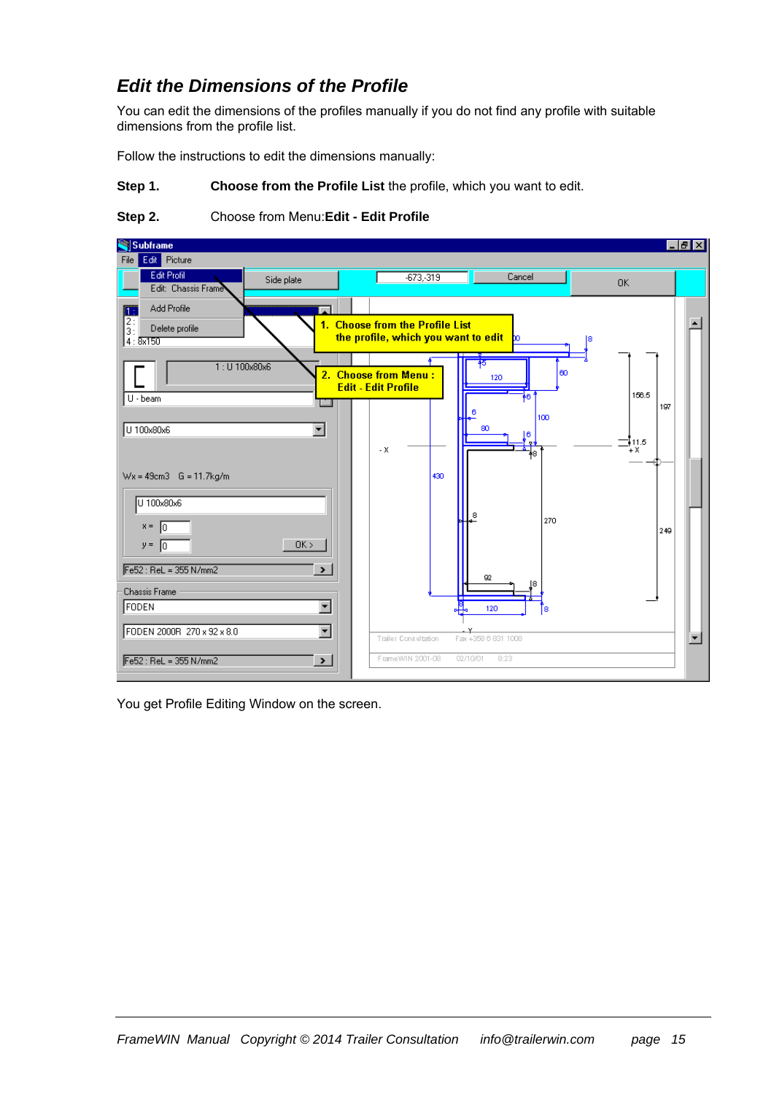### *Edit the Dimensions of the Profile*

You can edit the dimensions of the profiles manually if you do not find any profile with suitable dimensions from the profile list.

Follow the instructions to edit the dimensions manually:

**Step 1. Choose from the Profile List** the profile, which you want to edit.

#### **Step 2.** Choose from Menu:**Edit - Edit Profile**

| Subframe                                                                 |                          |                                                    |                                                                        |                     |              | $ F$ $x$             |
|--------------------------------------------------------------------------|--------------------------|----------------------------------------------------|------------------------------------------------------------------------|---------------------|--------------|----------------------|
| Edit Picture<br>File                                                     |                          |                                                    |                                                                        |                     |              |                      |
| Edit Profil<br>Edit: Chassis Frame                                       | Side plate               |                                                    | $-673, -319$                                                           | Cancel              | <b>OK</b>    |                      |
| Add Profile                                                              |                          |                                                    |                                                                        |                     |              |                      |
| $\begin{bmatrix} 1 \\ 2 \\ 3 \end{bmatrix}$<br>Delete profile<br>4:8x150 |                          |                                                    | 1. Choose from the Profile List<br>the profile, which you want to edit | <b>b</b>            |              |                      |
|                                                                          | 1: U 100x80x6            | 2. Choose from Menu:<br><b>Edit - Edit Profile</b> |                                                                        | 15<br>lΘΟ<br>120    |              |                      |
| U - beam                                                                 |                          |                                                    |                                                                        | 6<br>100            | 156.5<br>197 |                      |
| U 100x80x6                                                               | $\overline{\phantom{a}}$ | $- X$                                              |                                                                        | 80<br>16.<br>8      | 111.5<br>ΉX. |                      |
| $Wx = 49cm3$ G = 11.7 $kg/m$                                             |                          |                                                    | 430                                                                    |                     |              |                      |
| U 100x80x6<br>$x =  0$                                                   |                          |                                                    |                                                                        | ి<br>270            |              |                      |
| $y = \begin{bmatrix} 0 \end{bmatrix}$                                    | OK                       |                                                    |                                                                        |                     | 249          |                      |
| $Fe52$ : ReL = 355 N/mm2                                                 | $\rightarrow$            |                                                    |                                                                        | 92<br>l8            |              |                      |
| <b>Chassis Frame</b><br>FODEN                                            | $\blacktriangledown$     |                                                    |                                                                        | 120<br>18           |              |                      |
| FODEN 2000R 270 x 92 x 8.0                                               | $\overline{\phantom{0}}$ |                                                    | Trailer Consultation                                                   | Fax +358 6 831 1008 |              | $\blacktriangledown$ |
| Fe52 : ReL = 355 N/mm2                                                   | $\blacktriangleright$    |                                                    | FrameW/IN 2001-08                                                      | 8:23<br>02/10/01    |              |                      |

You get Profile Editing Window on the screen.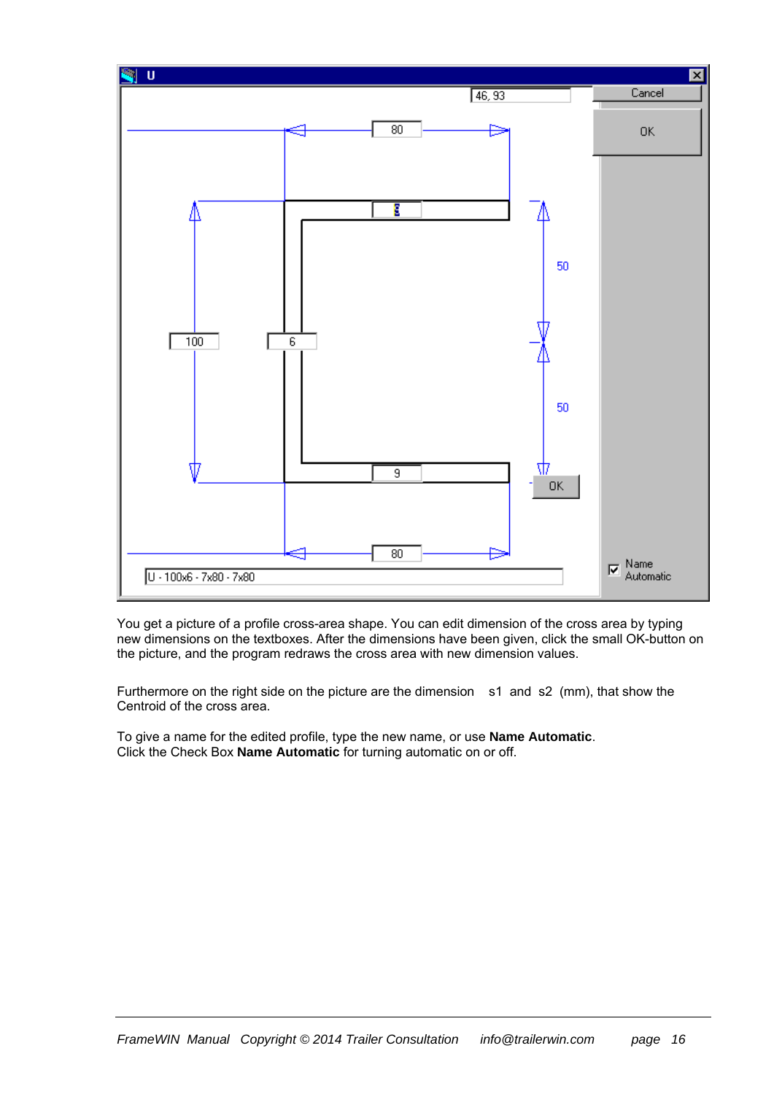

You get a picture of a profile cross-area shape. You can edit dimension of the cross area by typing new dimensions on the textboxes. After the dimensions have been given, click the small OK-button on the picture, and the program redraws the cross area with new dimension values.

Furthermore on the right side on the picture are the dimension s1 and s2 (mm), that show the Centroid of the cross area.

To give a name for the edited profile, type the new name, or use **Name Automatic**. Click the Check Box **Name Automatic** for turning automatic on or off.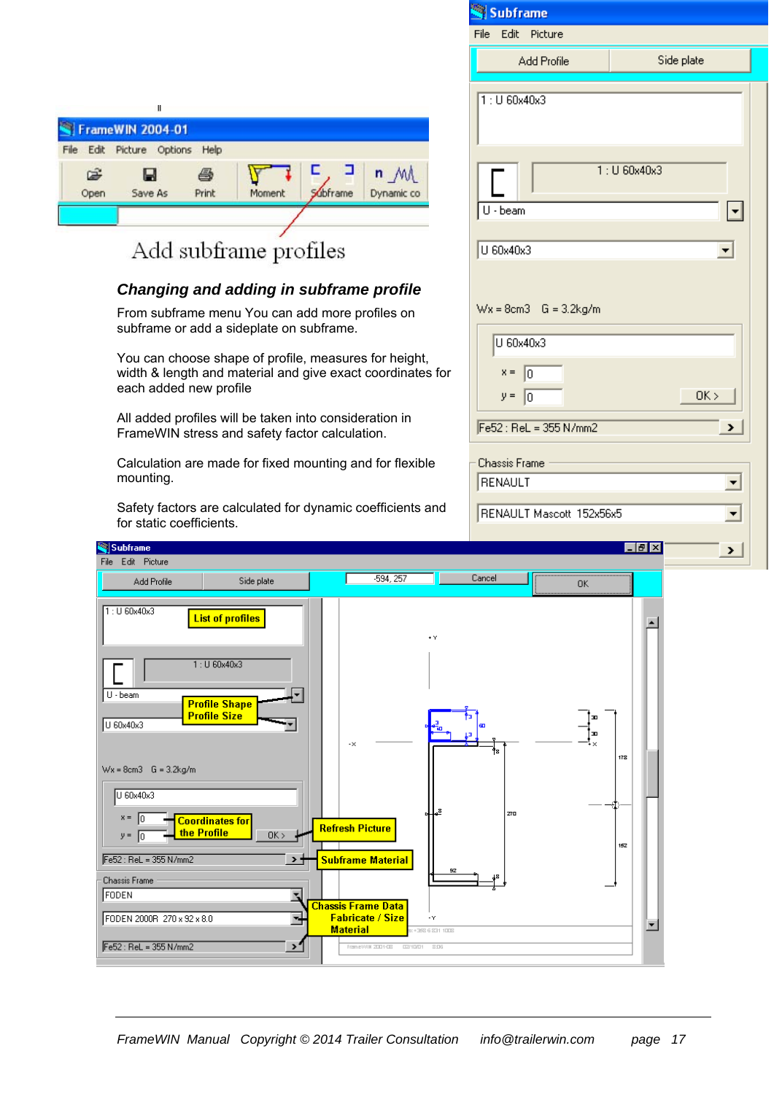|              | Ш<br><b>FrameWIN 2004-01</b> |            |        |         |                                 |
|--------------|------------------------------|------------|--------|---------|---------------------------------|
| Edit<br>File | Picture Options Help         |            |        |         |                                 |
| œ<br>Open    | ы<br>Save As                 | 6<br>Print | Moment | dbframe | $n_{\mathcal{M}}$<br>Dynamic co |
|              |                              |            |        |         |                                 |

# Add subframe profiles

#### *Changing and adding in subframe profile*

From subframe menu You can add more profiles on subframe or add a sideplate on subframe.

You can choose shape of profile, measures for height, width & length and material and give exact coordinates each added new profile

All added profiles will be taken into consideration in FrameWIN stress and safety factor calculation.

Subframe File Edit Picture

Calculation are made for fixed mounting and for flexible mounting.

Safety factors are calculated for dynamic coefficients an for static coefficients.

|     | Subframe                                                      |                           |
|-----|---------------------------------------------------------------|---------------------------|
|     | File<br>Edit<br>Picture                                       |                           |
|     | Add Profile                                                   | Side plate                |
|     | $1:U$ 60x40x3                                                 |                           |
|     | U - beam                                                      | $1:U$ 60x40x3<br>▼        |
|     | U 60x40x3                                                     | $\blacktriangledown$      |
|     |                                                               |                           |
|     | $Wx = 8cm3$ G = 3.2kg/m                                       |                           |
|     | U 60x40x3                                                     |                           |
| for | $x = \sqrt{0}$<br>$y = 0$                                     | OK >                      |
|     | $Fe52: ReL = 355 N/mm2$                                       | ×.                        |
|     | Chassis Frame<br>RENAULT                                      | $\blacktriangledown$      |
| ٦d  | RENAULT Mascott 152x56x5                                      | ▼                         |
|     |                                                               | $\blacksquare$ e $\times$ |
|     |                                                               | ×.                        |
|     | <b>The Communication of the Communication</b><br>Cancel<br>OK |                           |
| r   |                                                               | $\blacktriangle$          |
| 릷   | Œ<br>æ<br>O<br>Ťз                                             |                           |
|     |                                                               | 178                       |

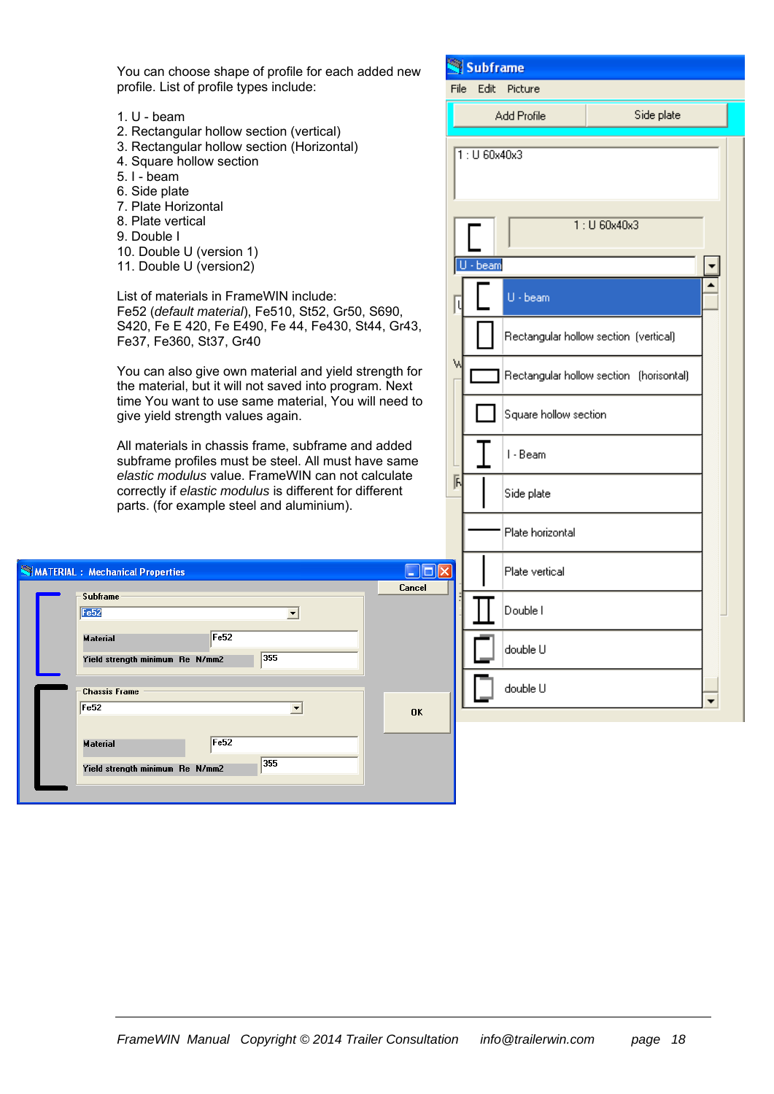You can choose shape of profile for each add profile. List of profile types include:

- 1. U beam
- 2. Rectangular hollow section (vertical)
- 3. Rectangular hollow section (Horizontal)
- 4. Square hollow section
- 5. I beam
- 6. Side plate
- 7. Plate Horizontal
- 8. Plate vertical
- 9. Double I
- 10. Double U (version 1)
- 11. Double U (version2)

List of materials in FrameWIN include: Fe52 (*default material*), Fe510, St52, Gr50, S S420, Fe E 420, Fe E490, Fe 44, Fe430, St4 Fe37, Fe360, St37, Gr40

You can also give own material and yield stre the material, but it will not saved into program time You want to use same material, You will give yield strength values again.

All materials in chassis frame, subframe and subframe profiles must be steel. All must have *elastic modulus* value. FrameWIN can not cal correctly if *elastic modulus* is different for different parts. (for example steel and aluminium).

|  | MATERIAL: Mechanical Properties |                  |   |           |
|--|---------------------------------|------------------|---|-----------|
|  |                                 |                  |   | Cancel    |
|  | <b>Subframe</b>                 |                  |   |           |
|  | Fe52                            |                  | ▼ |           |
|  |                                 |                  |   |           |
|  | <b>Material</b>                 | Fe <sub>52</sub> |   |           |
|  |                                 |                  |   |           |
|  | Yield strength minimum Re N/mm2 | 355              |   |           |
|  |                                 |                  |   |           |
|  | <b>Chassis Frame</b>            |                  |   |           |
|  | Fe52                            |                  |   |           |
|  |                                 |                  |   | <b>OK</b> |
|  |                                 |                  |   |           |
|  | <b>Material</b>                 | Fe52             |   |           |
|  |                                 |                  |   |           |
|  | Yield strength minimum Re N/mm2 | 355              |   |           |
|  |                                 |                  |   |           |
|  |                                 |                  |   |           |

| ded new                           |      | Subframe      |                       |                                         |  |
|-----------------------------------|------|---------------|-----------------------|-----------------------------------------|--|
|                                   | File | Edit          | Picture               |                                         |  |
|                                   |      |               | Add Profile           | Side plate                              |  |
|                                   |      | $1:U$ 60x40x3 |                       |                                         |  |
|                                   |      | $U - beam$    |                       | 1: U 60x40x3                            |  |
| 690,                              | l    |               | $U - beam$            |                                         |  |
| 4, Gr43,                          |      |               |                       | Rectangular hollow section (vertical)   |  |
| ength for<br>n. Next<br>I need to | W    |               |                       | Rectangular hollow section (horisontal) |  |
|                                   |      |               | Square hollow section |                                         |  |
| added<br>e same<br>lculate        | 国    |               | I - Beam              |                                         |  |
| erent                             |      |               | Side plate            |                                         |  |
|                                   |      |               | Plate horizontal      |                                         |  |
| $\Box$ ok<br>Cancel               |      |               | Plate vertical        |                                         |  |
|                                   |      |               | Double I              |                                         |  |
|                                   |      |               | double U              |                                         |  |
| OK                                |      |               | double U              |                                         |  |
|                                   |      |               |                       |                                         |  |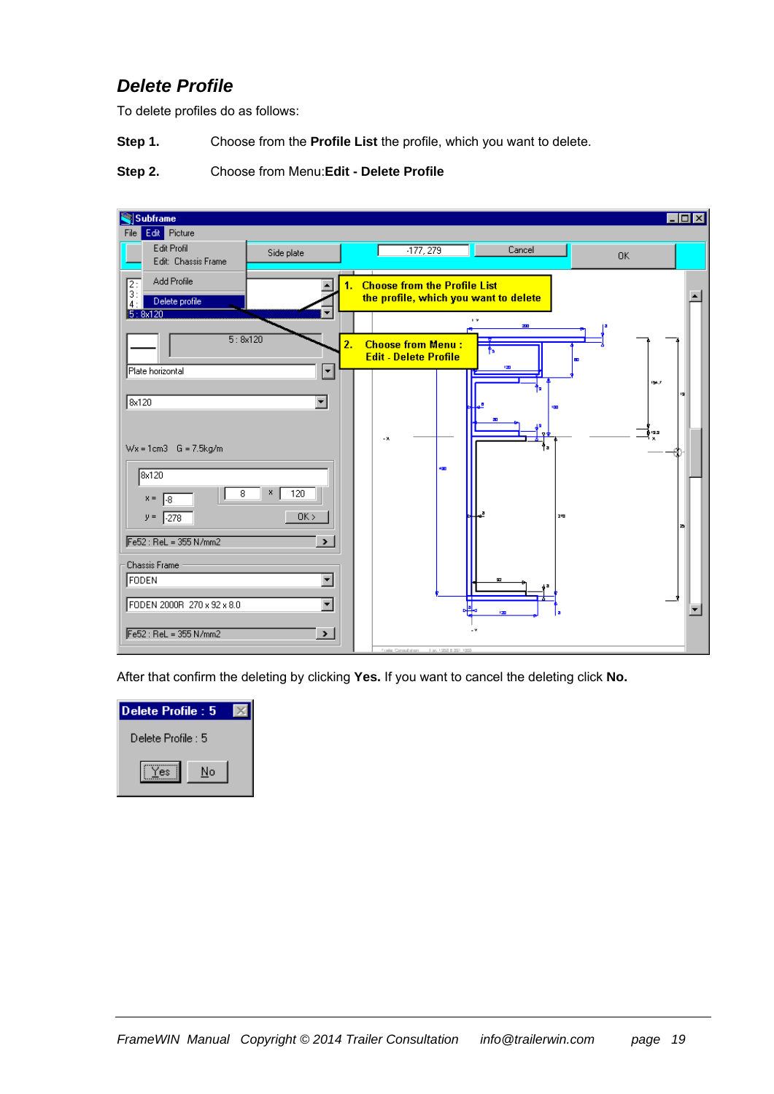### *Delete Profile*

To delete profiles do as follows:

**Step 1.** Choose from the **Profile List** the profile, which you want to delete.

#### **Step 2.** Choose from Menu:**Edit - Delete Profile**

| Subframe                                                                                              |                |                                                          |                                   |        |                                         |                |       | $\Box$ olxi          |
|-------------------------------------------------------------------------------------------------------|----------------|----------------------------------------------------------|-----------------------------------|--------|-----------------------------------------|----------------|-------|----------------------|
| Edit Picture<br>File                                                                                  |                |                                                          |                                   |        |                                         |                |       |                      |
| Edit Profil<br>Side plate<br>Edit: Chassis Frame                                                      |                |                                                          | $-177,279$                        |        | Cancel                                  |                | 0K    |                      |
| Add Profile<br>$\frac{2}{3}$ :<br>4 :<br>Delete profile<br>5:8x120                                    | 1.             | <b>Choose from the Profile List</b>                      |                                   |        | the profile, which you want to delete   |                |       |                      |
| 5:8x120                                                                                               | $\overline{2}$ | <b>Choose from Menu:</b><br><b>Edit - Delete Profile</b> |                                   |        | $\mathbf{r}$ $\mathbf{v}$<br>AL I<br>t, |                |       |                      |
| E<br>Plate horizontal<br>8x120<br>$\overline{\phantom{a}}$                                            |                |                                                          |                                   |        | IΣD                                     |                | 154.7 |                      |
| $Wx = 1cm3$ G = 7.5kg/m                                                                               |                | - 8.                                                     |                                   |        |                                         | <b>I</b>       | ţ.    |                      |
| 8x120<br>х.<br>120<br>8<br>$x =$<br>I-8                                                               |                |                                                          | 450                               |        |                                         |                |       |                      |
| OK<br>$-278$<br>$y =$<br>Fe52 : ReL = 355 N/mm2<br>$\blacktriangleright$                              |                |                                                          |                                   |        |                                         | 2 <sub>m</sub> |       |                      |
| <b>Chassis Frame</b><br>FODEN<br>$\blacktriangledown$<br>FODEN 2000R 270 x 92 x 8.0<br>$\blacksquare$ |                |                                                          |                                   | □<br>他 | 92<br>120                               |                |       | $\blacktriangledown$ |
| $Fe52: ReL = 355 N/mm2$<br>$\blacktriangleright$                                                      |                |                                                          | Frank Countston, Fax 1951 839 100 |        |                                         |                |       |                      |

After that confirm the deleting by clicking **Yes.** If you want to cancel the deleting click **No.**

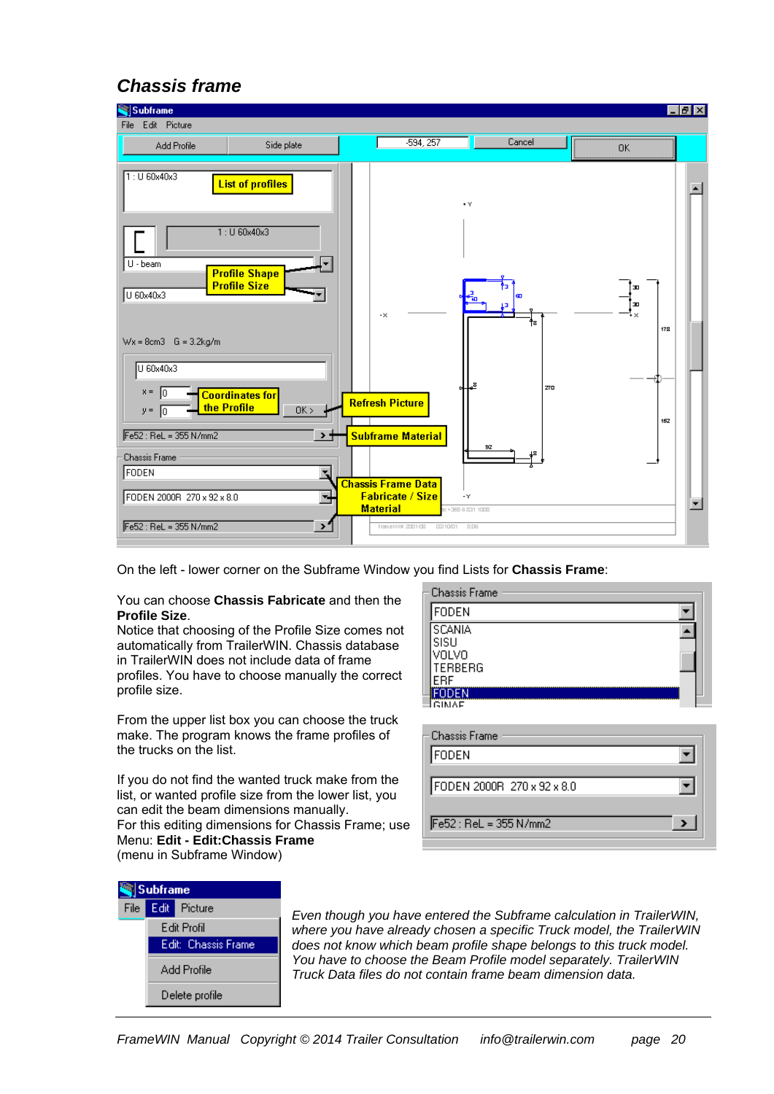### *Chassis frame*



On the left - lower corner on the Subframe Window you find Lists for **Chassis Frame**:

#### You can choose **Chassis Fabricate** and then the **Profile Size**.

Notice that choosing of the Profile Size comes not automatically from TrailerWIN. Chassis database in TrailerWIN does not include data of frame profiles. You have to choose manually the correct profile size.

From the upper list box you can choose the truck make. The program knows the frame profiles of the trucks on the list.

If you do not find the wanted truck make from the list, or wanted profile size from the lower list, you can edit the beam dimensions manually. For this editing dimensions for Chassis Frame; use Menu: **Edit - Edit:Chassis Frame**  (menu in Subframe Window)

| FODEN                                             |  |
|---------------------------------------------------|--|
| SCANIA<br>'SISU<br>VOLVO<br><b>TERBERG</b><br>FRF |  |
| mnen                                              |  |

| - Chassis Frame            |  |
|----------------------------|--|
| <b>FODEN</b>               |  |
| FODEN 2000R 270 x 92 x 8.0 |  |
| Fe52 : ReL = 355 N/mm2     |  |



*Even though you have entered the Subframe calculation in TrailerWIN, where you have already chosen a specific Truck model, the TrailerWIN does not know which beam profile shape belongs to this truck model. You have to choose the Beam Profile model separately. TrailerWIN Truck Data files do not contain frame beam dimension data.*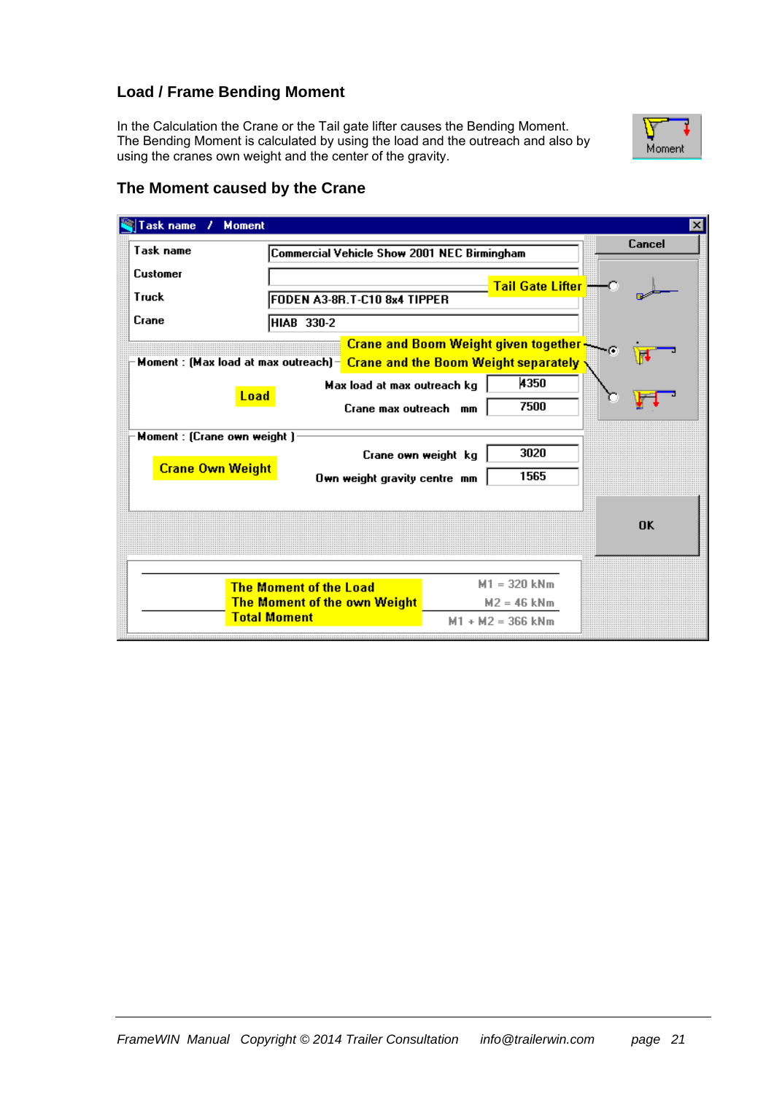#### **Load / Frame Bending Moment**

In the Calculation the Crane or the Tail gate lifter causes the Bending Moment. The Bending Moment is calculated by using the load and the outreach and also by using the cranes own weight and the center of the gravity.



#### **The Moment caused by the Crane**

| Task name<br><b>Moment</b><br>,                        |                                                                               |                                                                                                                      | $\vert x \vert$ |
|--------------------------------------------------------|-------------------------------------------------------------------------------|----------------------------------------------------------------------------------------------------------------------|-----------------|
| Task name                                              | Commercial Vehicle Show 2001 NEC Birmingham                                   |                                                                                                                      | Cancel          |
| <b>Customer</b>                                        |                                                                               | <mark>Tail Gate Lifter —</mark>                                                                                      |                 |
| Truck<br>Crane                                         | FODEN A3-8R.T-C10 8x4 TIPPER<br>HIAB 330-2                                    |                                                                                                                      |                 |
|                                                        |                                                                               | Crane and Boom Weight given together<br>Moment : (Max load at max outreach) - Crane and the Boom Weight separately . |                 |
| Load                                                   | Max load at max outreach kg<br>Crane max outreach mm                          | 4350<br>7500                                                                                                         |                 |
| Moment : (Crane own weight)<br><b>Crane Own Weight</b> | Crane own weight kg<br>Own weight gravity centre mm                           | 3020<br>1565                                                                                                         |                 |
|                                                        |                                                                               |                                                                                                                      | <b>OK</b>       |
|                                                        |                                                                               | $M1 = 320$ kNm                                                                                                       |                 |
|                                                        | <b>The Moment of the Load</b><br>The Moment of the own Weight<br>Total Moment | $M2 = 46$ kNm<br>$+ M2 = 366$ kNm<br>M1                                                                              |                 |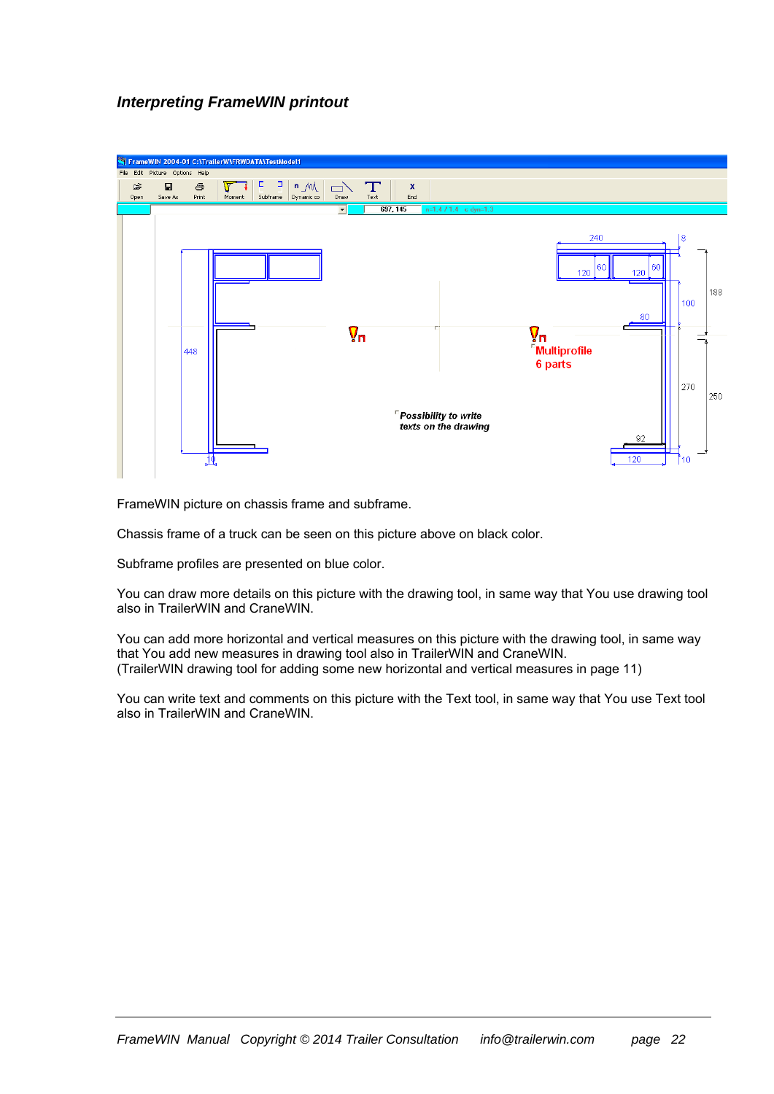#### *Interpreting FrameWIN printout*



FrameWIN picture on chassis frame and subframe.

Chassis frame of a truck can be seen on this picture above on black color.

Subframe profiles are presented on blue color.

You can draw more details on this picture with the drawing tool, in same way that You use drawing tool also in TrailerWIN and CraneWIN.

You can add more horizontal and vertical measures on this picture with the drawing tool, in same way that You add new measures in drawing tool also in TrailerWIN and CraneWIN. (TrailerWIN drawing tool for adding some new horizontal and vertical measures in page 11)

You can write text and comments on this picture with the Text tool, in same way that You use Text tool also in TrailerWIN and CraneWIN.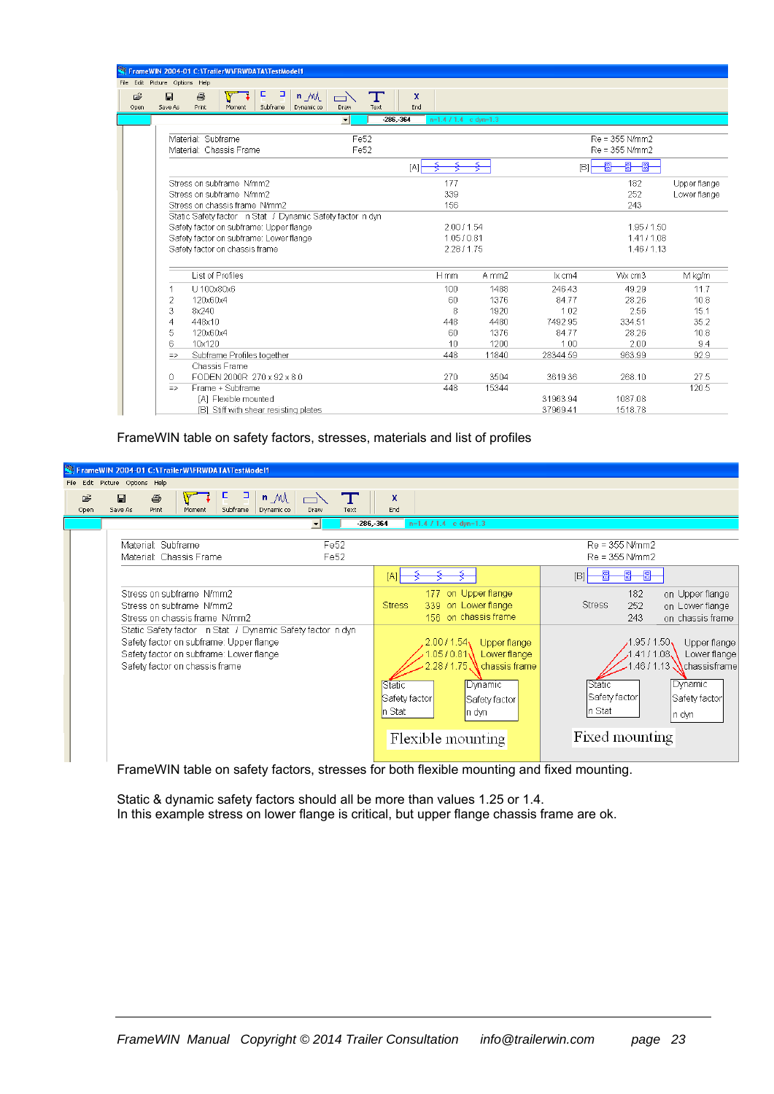|           |                                | FrameWIN 2004-01 C:\TrailerW\FRWDATA\TestModel1 |                                                           |                                  |                       |                         |       |          |                |              |
|-----------|--------------------------------|-------------------------------------------------|-----------------------------------------------------------|----------------------------------|-----------------------|-------------------------|-------|----------|----------------|--------------|
|           | File Edit Picture Options Help |                                                 |                                                           |                                  |                       |                         |       |          |                |              |
| Ê<br>Open | $\Box$<br>Save As              | 马<br><b>Print</b><br>Moment                     | в<br>$n \mathcal{M}$<br>Dynamic co<br>Subframe            | $\overline{\phantom{a}}$<br>Draw | Т<br>x<br>End<br>Text |                         |       |          |                |              |
|           |                                |                                                 |                                                           | $\blacktriangledown$             | $-286 - 364$          | $n=1.4$ / 1.4 c dvn=1.3 |       |          |                |              |
|           |                                |                                                 |                                                           |                                  |                       |                         |       |          |                |              |
|           |                                | Material: Subframe                              |                                                           | Fe52                             |                       |                         |       |          | Re = 355 N/mm2 |              |
|           |                                | Material: Chassis Frame                         |                                                           | Fe52                             |                       |                         |       |          | Re = 355 N/mm2 |              |
|           |                                |                                                 |                                                           |                                  | [A]                   |                         | ₹     | B        | 冊<br>圖<br>圖    |              |
|           |                                | Stress on subframe N/mm2                        |                                                           |                                  |                       | 177                     |       |          | 182            | Upper flange |
|           |                                | Stress on subframe N/mm2                        |                                                           |                                  |                       | 339                     |       |          | 252            | Lower flange |
|           |                                | Stress on chassis frame N/mm2                   |                                                           |                                  |                       | 156                     |       |          | 243            |              |
|           |                                |                                                 | Static Safety factor n Stat / Dynamic Safety factor n dyn |                                  |                       |                         |       |          |                |              |
|           |                                | Safety factor on subframe: Upper flange         |                                                           |                                  |                       | 2007154                 |       |          | 195/150        |              |
|           |                                | Safety factor on subframe: Lower flange         |                                                           |                                  |                       | 1.05 / 0.81             |       |          | 1.41/1.08      |              |
|           |                                | Safety factor on chassis frame                  |                                                           |                                  |                       | 228/175                 |       |          | 1.46 / 1.13    |              |
|           |                                |                                                 |                                                           |                                  |                       |                         |       |          |                |              |
|           |                                | List of Profiles                                |                                                           |                                  |                       | $H$ mm                  | A mm2 | $x$ cm4  | Wx cm3         | M kg/m       |
|           |                                | U 100x80x6                                      |                                                           |                                  |                       | 100                     | 1488  | 246.43   | 49.29          | 11.7         |
|           | $\overline{2}$                 | 120x60x4                                        |                                                           |                                  |                       | 60                      | 1376  | 84.77    | 28.26          | 10.8         |
|           | 3                              | 8x240                                           |                                                           |                                  |                       | 8                       | 1920  | 1.02     | 2.56           | 15.1         |
|           | $\overline{A}$                 | 448x10                                          |                                                           |                                  |                       | 448                     | 4480  | 7492.95  | 334.51         | 35.2         |
|           | 5                              | 120x60x4                                        |                                                           |                                  |                       | 60                      | 1376  | 8477     | 28.26          | 10.8         |
|           | 6                              | 10x120                                          |                                                           |                                  |                       | 10                      | 1200  | 1.00     | 2.00           | 9.4          |
|           | $\Rightarrow$                  | Subframe Profiles together                      |                                                           |                                  |                       | 448                     | 11840 | 28344.59 | 963.99         | 92.9         |
|           |                                | Chassis Frame                                   |                                                           |                                  |                       |                         |       |          |                |              |
|           | 0                              | FODEN 2000R 270 x 92 x 8.0                      |                                                           |                                  |                       | 270                     | 3504  | 3619.36  | 268.10         | 27.5         |
|           | $\Rightarrow$                  | Frame + Subframe                                |                                                           |                                  |                       | 448                     | 15344 |          |                | 120.5        |
|           |                                | [A] Flexible mounted                            |                                                           |                                  |                       |                         |       | 31963.94 | 1087.08        |              |
|           |                                |                                                 | [B] Stiff with shear resisting plates                     |                                  |                       |                         |       | 37969.41 | 1518.78        |              |

FrameWIN table on safety factors, stresses, materials and list of profiles

|                                | FrameWIN 2004-01 C:\TrailerW\FRWDATA\TestModel1                                                                                                                                   |                                      |                                                                                                                                                                                                         |                                                                                                                                                                                                                 |
|--------------------------------|-----------------------------------------------------------------------------------------------------------------------------------------------------------------------------------|--------------------------------------|---------------------------------------------------------------------------------------------------------------------------------------------------------------------------------------------------------|-----------------------------------------------------------------------------------------------------------------------------------------------------------------------------------------------------------------|
| File Edit Picture Options Help |                                                                                                                                                                                   |                                      |                                                                                                                                                                                                         |                                                                                                                                                                                                                 |
| œ<br>目<br>Save As<br>Open      | 귀<br>ч<br>$n \mathcal{M}$<br>马<br>Subframe<br>Dynamic co<br>Print<br>Moment                                                                                                       | T<br>Text<br>Draw                    | x<br>End                                                                                                                                                                                                |                                                                                                                                                                                                                 |
|                                |                                                                                                                                                                                   | $-286 - 364$<br>$\blacktriangledown$ | $n=1.4$ / 1.4 c dyn=1.3                                                                                                                                                                                 |                                                                                                                                                                                                                 |
|                                | Material: Subframe<br>Material: Chassis Frame                                                                                                                                     | Fe52<br>Fe52                         |                                                                                                                                                                                                         | $Re = 355$ N/mm2<br>Re = 355 N/mm2                                                                                                                                                                              |
|                                |                                                                                                                                                                                   |                                      | [A]                                                                                                                                                                                                     | 圈<br>郻<br>[ <b>B</b> ]                                                                                                                                                                                          |
|                                | Stress on subframe N/mm2<br>Stress on subframe N/mm2<br>Stress on chassis frame N/mm2                                                                                             |                                      | on Upper flange<br>177<br>on Lower flange<br><b>Stress</b><br>339<br>156 on chassis frame                                                                                                               | 182<br>on Upper flange<br><b>Stress</b><br>252<br>on Lower flange<br>243<br>on chassis frame                                                                                                                    |
|                                | Static Safety factor n Stat / Dynamic Safety factor n dyn<br>Safety factor on subframe: Upper flange<br>Safety factor on subframe: Lower flange<br>Safety factor on chassis frame |                                      | 2.0011.54<br>Upper flange<br>1.05 / 0.81<br>Lower flange<br>$2.28/1.75$ .<br>$\mathsf V$ chassis frame<br>Static<br>Dynamic<br>Safety factor<br>Safety factor<br>In Stat<br>In dyn<br>Flexible mounting | 1.95 / 1.50 $\sqrt$<br>Upper flange<br>1.41 / 1.08 <b>、</b><br>Lower flange<br>1.46 / 1.13 $\lambda$ chassis frame<br>Dynamic<br>Static<br>Safety factor<br>Safety factor<br>∣n Stat<br>n dyn<br>Fixed mounting |

FrameWIN table on safety factors, stresses for both flexible mounting and fixed mounting.

Static & dynamic safety factors should all be more than values 1.25 or 1.4. In this example stress on lower flange is critical, but upper flange chassis frame are ok.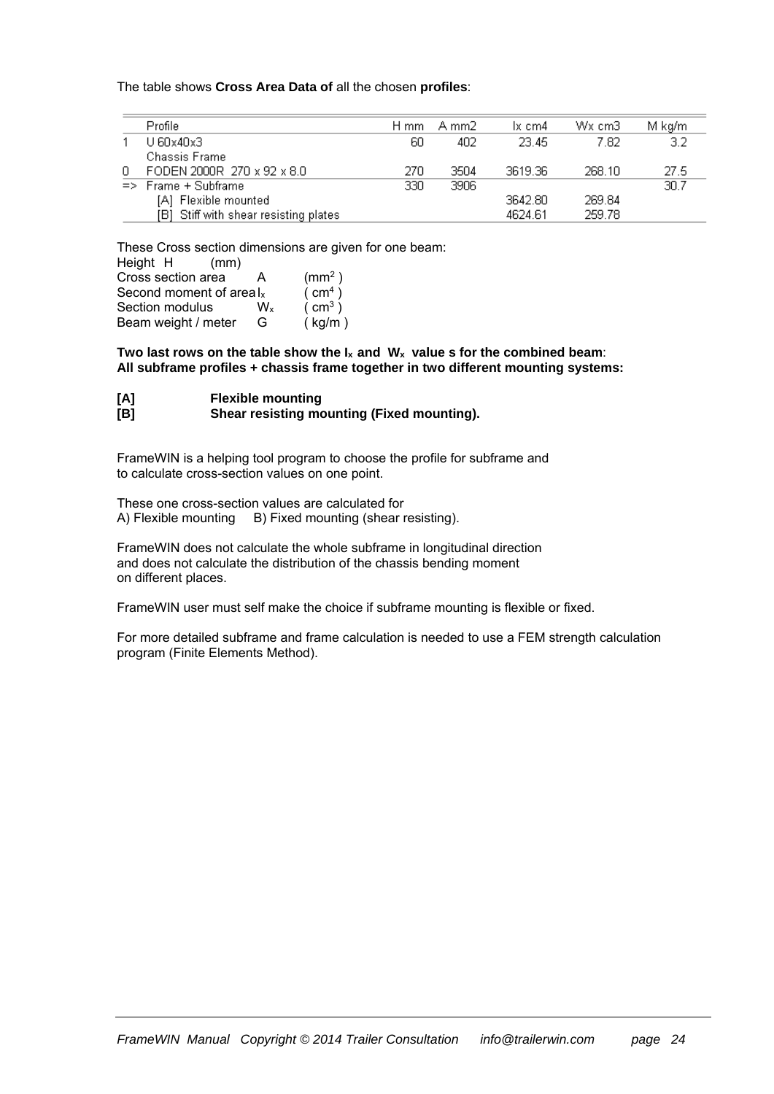The table shows **Cross Area Data of** all the chosen **profiles**:

|    | Profile                               | H mm | - A mm2 | lx cm4  | Wx cm3 | M kg/m |
|----|---------------------------------------|------|---------|---------|--------|--------|
|    | U 60x40x3                             | 60   | 402     | -23.45. | 7.82   | 3.2    |
|    | Chassis Frame                         |      |         |         |        |        |
| 0. | FODEN 2000R 270 x 92 x 8.0            | 270  | 3504    | 3619.36 | 268.10 | -27.5  |
|    | $\Rightarrow$ Frame + Subframe        | 330  | 3906    |         |        | 30.7   |
|    | [A] Flexible mounted                  |      |         | 3642.80 | 269.84 |        |
|    | [B] Stiff with shear resisting plates |      |         | 4624.61 | 259.78 |        |

These Cross section dimensions are given for one beam: Height H (mm)

| Cross section area         | А              | (mm <sup>2</sup> ) |
|----------------------------|----------------|--------------------|
| Second moment of areal $x$ |                | (m <sup>4</sup> )  |
| Section modulus            | W <sub>x</sub> | (m <sup>3</sup> )  |
| Beam weight / meter        | G              | (kg/m)             |

Two last rows on the table show the  $I_x$  and  $W_x$  value s for the combined beam: **All subframe profiles + chassis frame together in two different mounting systems:** 

| [A] | <b>Flexible mounting</b>                   |
|-----|--------------------------------------------|
| [B] | Shear resisting mounting (Fixed mounting). |

FrameWIN is a helping tool program to choose the profile for subframe and to calculate cross-section values on one point.

These one cross-section values are calculated for A) Flexible mounting B) Fixed mounting (shear resisting).

FrameWIN does not calculate the whole subframe in longitudinal direction and does not calculate the distribution of the chassis bending moment on different places.

FrameWIN user must self make the choice if subframe mounting is flexible or fixed.

For more detailed subframe and frame calculation is needed to use a FEM strength calculation program (Finite Elements Method).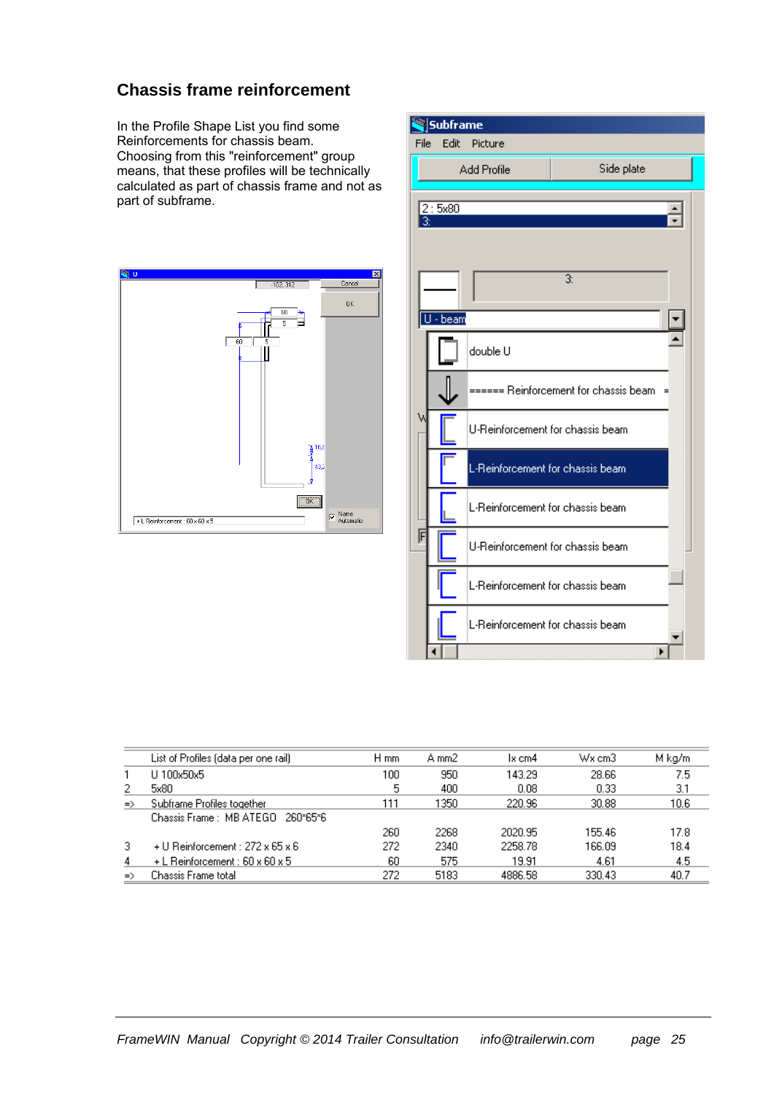#### **Chassis frame reinforcement**

In the Profile Shape List you find some Reinforcements for chassis beam. Choosing from this "reinforcement" group means, that these profiles will be technically calculated as part of chassis frame and not as part of subframe.





|               | List of Profiles (data per one rail) | H mm | A mm2 | 1x cm4  | $Wx$ cm $3$ | M kg/m |
|---------------|--------------------------------------|------|-------|---------|-------------|--------|
|               | U 100x50x5                           | 100  | 950   | 143.29  | 28.66       | 7.5    |
| 2             | 5x80                                 | 5    | 400   | 0.08    | 0.33        | 3.1    |
| $\Rightarrow$ | Subframe Profiles together           | 111  | 1350. | 220.96  | 30.88       | 10.6   |
|               | Chassis Frame: MB ATEGO 260*65*6     |      |       |         |             |        |
|               |                                      | 260  | 2268  | 2020.95 | 155.46      | 17.8   |
| 3.            | + U Reinforcement : 272 x 65 x 6     | 272  | 2340  | 2258.78 | 166.09      | 18.4   |
| 4             | $+$ L Reinforcement : 60 x 60 x 5    | 60   | 575   | 19.91   | 4.61        | 4.5    |
| $\Rightarrow$ | Chassis Frame total.                 | 272  | 5183  | 4886.58 | 330.43      | 40.7   |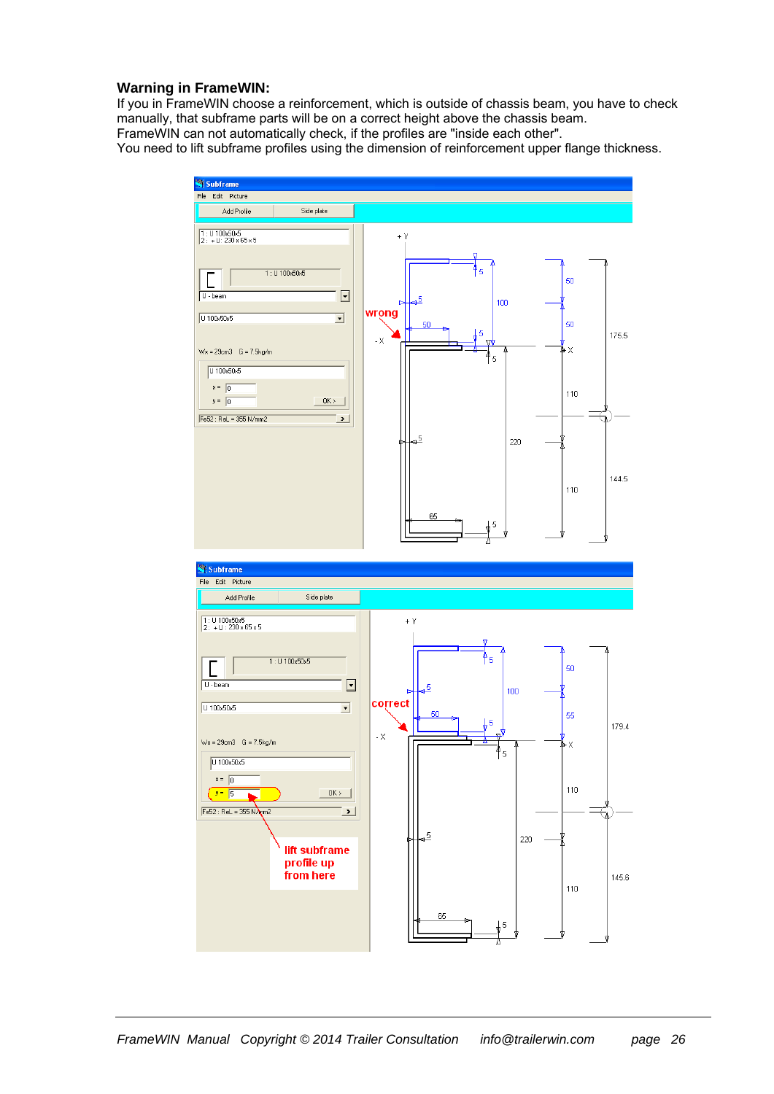#### **Warning in FrameWIN:**

If you in FrameWIN choose a reinforcement, which is outside of chassis beam, you have to check manually, that subframe parts will be on a correct height above the chassis beam. FrameWIN can not automatically check, if the profiles are "inside each other". You need to lift subframe profiles using the dimension of reinforcement upper flange thickness.

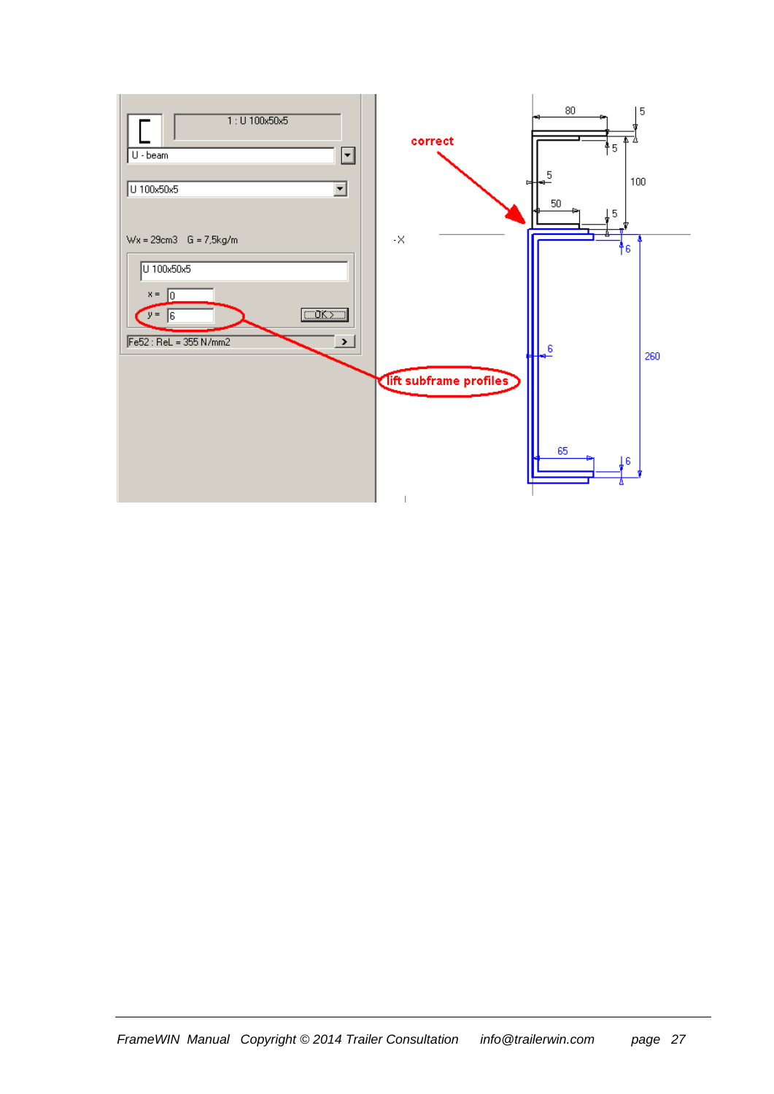| $1:U$ 100x50x5<br>$U \cdot \mathsf{beam}$<br>∼∣<br>U 100x50x5                                                                | correct                                | $80\,$<br>5<br>4<br>†5<br>$\overline{5}$<br>100<br>$50\,$<br>Į5 |
|------------------------------------------------------------------------------------------------------------------------------|----------------------------------------|-----------------------------------------------------------------|
| $Wx = 29cm3$ G = 7,5kg/m<br>U 100x50x5<br>$x =$<br>l0<br>CORZD<br>$y = 6$<br>Fe52 : ReL = 355 N/mm2<br>$\blacktriangleright$ | $\cdot \times$                         | ł6<br>$\frac{6}{4}$<br>260                                      |
|                                                                                                                              | lift subframe profiles<br>$\mathbf{1}$ | 65<br>Ťe.                                                       |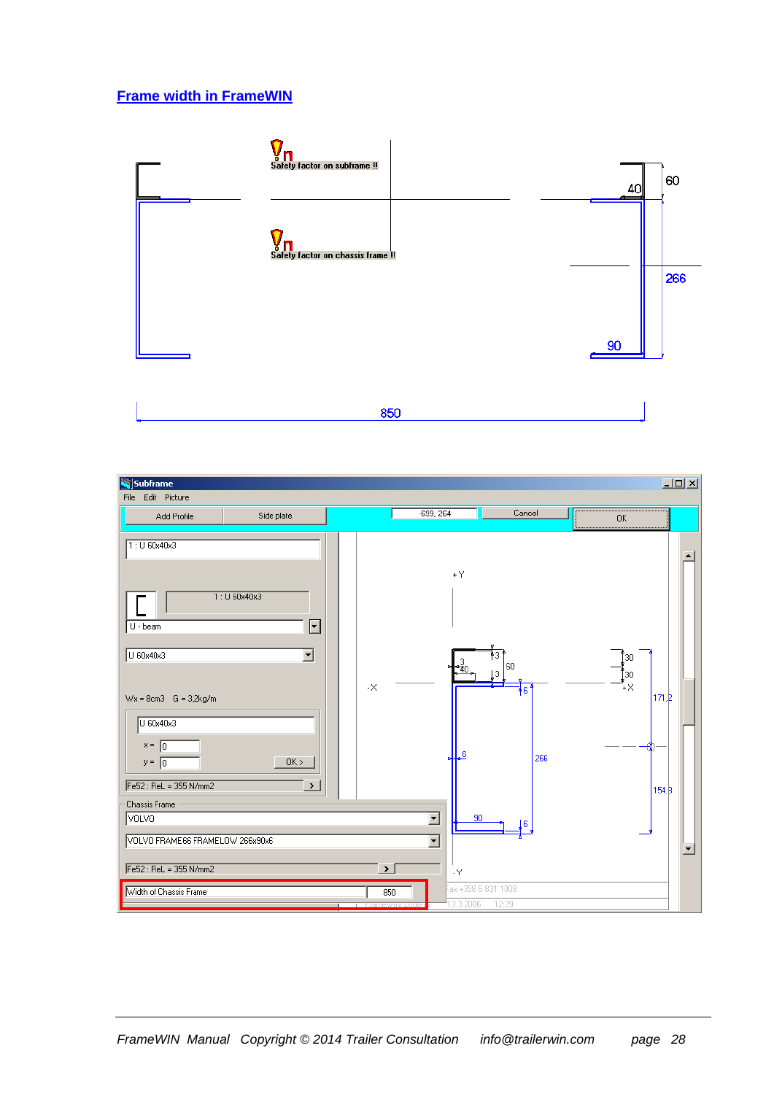#### **Frame width in FrameWIN**



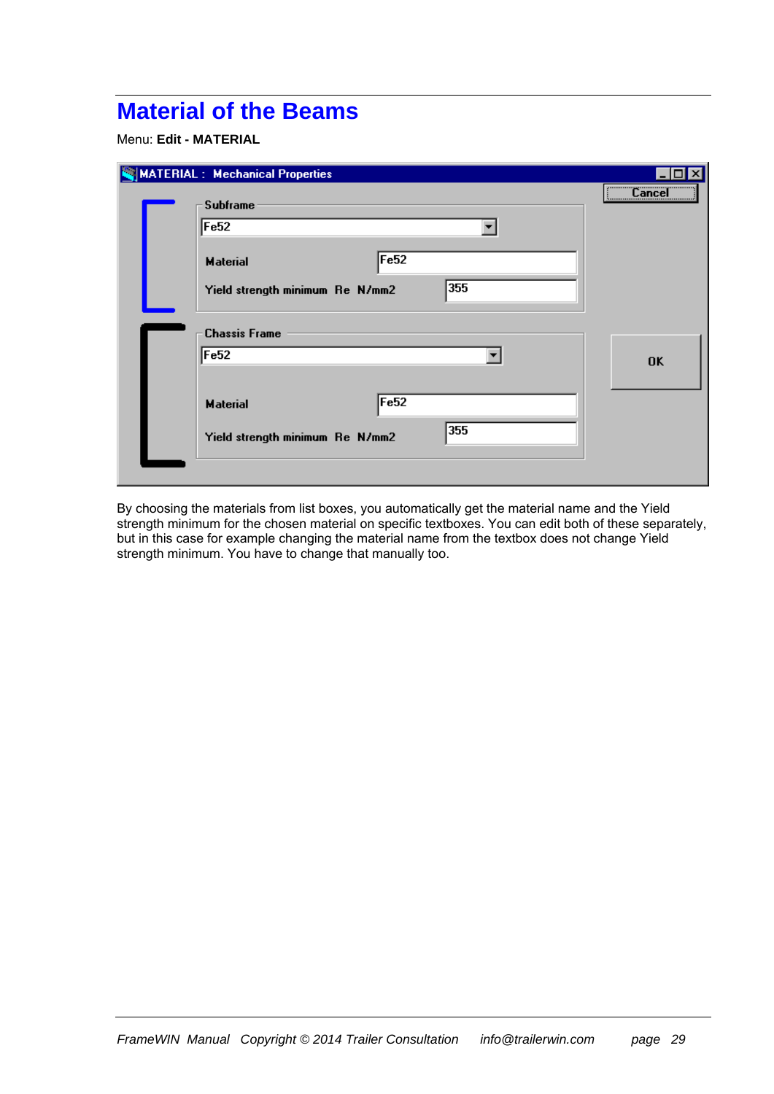## **Material of the Beams**

Menu: **Edit - MATERIAL** 

| <b>MATERIAL: Mechanical Properties</b> |                                                                                                                                                                                                                                                                                                                                                                                                                                                                                 |
|----------------------------------------|---------------------------------------------------------------------------------------------------------------------------------------------------------------------------------------------------------------------------------------------------------------------------------------------------------------------------------------------------------------------------------------------------------------------------------------------------------------------------------|
| Subframe                               | $\overline{\phantom{a}}$ $\overline{\phantom{a}}$ $\overline{\phantom{a}}$ $\overline{\phantom{a}}$ $\overline{\phantom{a}}$ $\overline{\phantom{a}}$ $\overline{\phantom{a}}$ $\overline{\phantom{a}}$ $\overline{\phantom{a}}$ $\overline{\phantom{a}}$ $\overline{\phantom{a}}$ $\overline{\phantom{a}}$ $\overline{\phantom{a}}$ $\overline{\phantom{a}}$ $\overline{\phantom{a}}$ $\overline{\phantom{a}}$ $\overline{\phantom{a}}$ $\overline{\phantom{a}}$ $\overline{\$ |
| Fe <sub>52</sub>                       |                                                                                                                                                                                                                                                                                                                                                                                                                                                                                 |
| F <sub>e52</sub><br><b>Material</b>    |                                                                                                                                                                                                                                                                                                                                                                                                                                                                                 |
| 355<br>Yield strength minimum Re N/mm2 |                                                                                                                                                                                                                                                                                                                                                                                                                                                                                 |
| <b>Chassis Frame</b>                   |                                                                                                                                                                                                                                                                                                                                                                                                                                                                                 |
| Fe <sub>52</sub>                       | 0K                                                                                                                                                                                                                                                                                                                                                                                                                                                                              |
|                                        |                                                                                                                                                                                                                                                                                                                                                                                                                                                                                 |
| Fe <sub>52</sub><br><b>Material</b>    |                                                                                                                                                                                                                                                                                                                                                                                                                                                                                 |
| 355<br>Yield strength minimum Re N/mm2 |                                                                                                                                                                                                                                                                                                                                                                                                                                                                                 |
|                                        |                                                                                                                                                                                                                                                                                                                                                                                                                                                                                 |

By choosing the materials from list boxes, you automatically get the material name and the Yield strength minimum for the chosen material on specific textboxes. You can edit both of these separately, but in this case for example changing the material name from the textbox does not change Yield strength minimum. You have to change that manually too.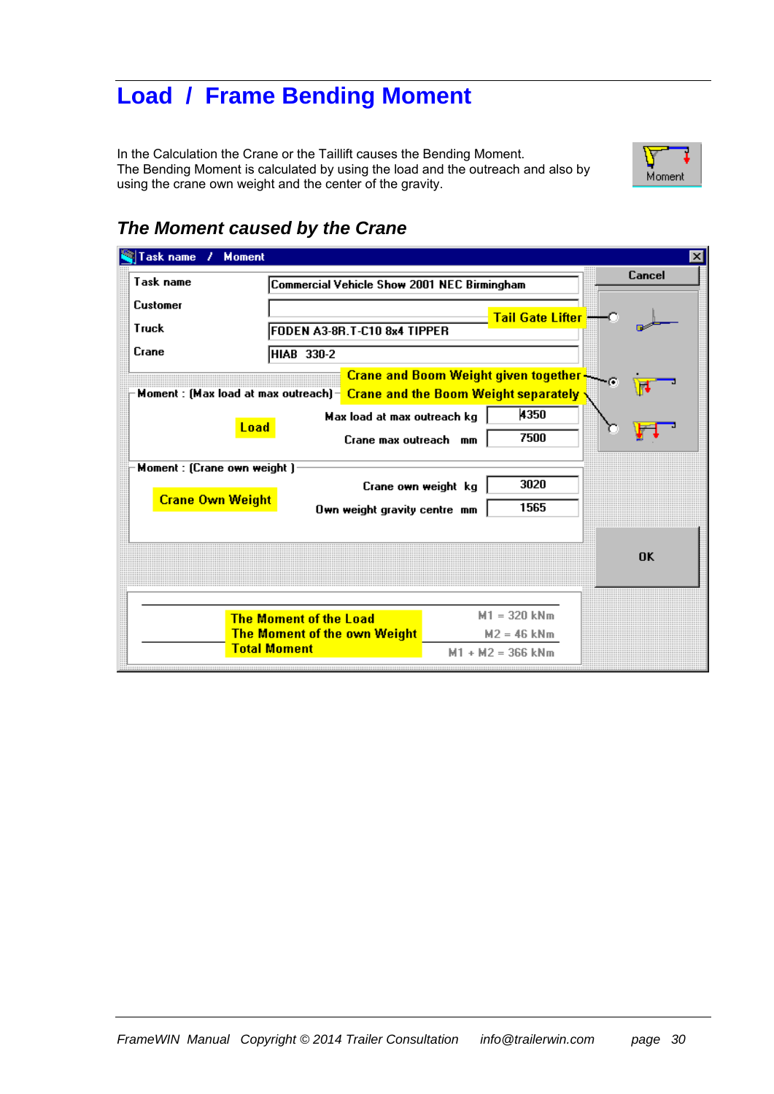## **Load / Frame Bending Moment**

In the Calculation the Crane or the Taillift causes the Bending Moment. The Bending Moment is calculated by using the load and the outreach and also by using the crane own weight and the center of the gravity.



### *The Moment caused by the Crane*

| Task name<br><b>Moment</b><br>$\boldsymbol{\psi}$      |                                                                                             |                                                                                                                                            | $\vert x \vert$ |  |  |  |  |  |
|--------------------------------------------------------|---------------------------------------------------------------------------------------------|--------------------------------------------------------------------------------------------------------------------------------------------|-----------------|--|--|--|--|--|
| Task name                                              | Commercial Vehicle Show 2001 NEC Birmingham                                                 |                                                                                                                                            | Cancel          |  |  |  |  |  |
| Customer                                               |                                                                                             | Tail Gate Lifter -- C                                                                                                                      |                 |  |  |  |  |  |
| Truck                                                  | FODEN A3-8R.T-C10 8x4 TIPPER                                                                |                                                                                                                                            |                 |  |  |  |  |  |
| Crane                                                  | HIAB 330-2                                                                                  |                                                                                                                                            |                 |  |  |  |  |  |
|                                                        |                                                                                             | Crane and Boom Weight given together<br>Moment : (Max load at max outreach) - Crane and the Boom Weight separately $\overline{\textbf{y}}$ |                 |  |  |  |  |  |
| Load                                                   | Max load at max outreach kg<br>Crane max outreach mm                                        | 4350<br>7500                                                                                                                               | r               |  |  |  |  |  |
| Moment : (Crane own weight)<br><b>Crane Own Weight</b> | Crane own weight kg<br>Own weight gravity centre mm                                         | 3020<br>1565                                                                                                                               |                 |  |  |  |  |  |
|                                                        |                                                                                             |                                                                                                                                            | <b>OK</b>       |  |  |  |  |  |
|                                                        |                                                                                             |                                                                                                                                            |                 |  |  |  |  |  |
|                                                        | <b>The Moment of the Load</b><br><b>The Moment of the own Weight</b><br><b>Total Moment</b> | $M1 = 320$ kNm<br>$M2 = 46$ kNm<br>$M1 + M2 = 366$ kNm                                                                                     |                 |  |  |  |  |  |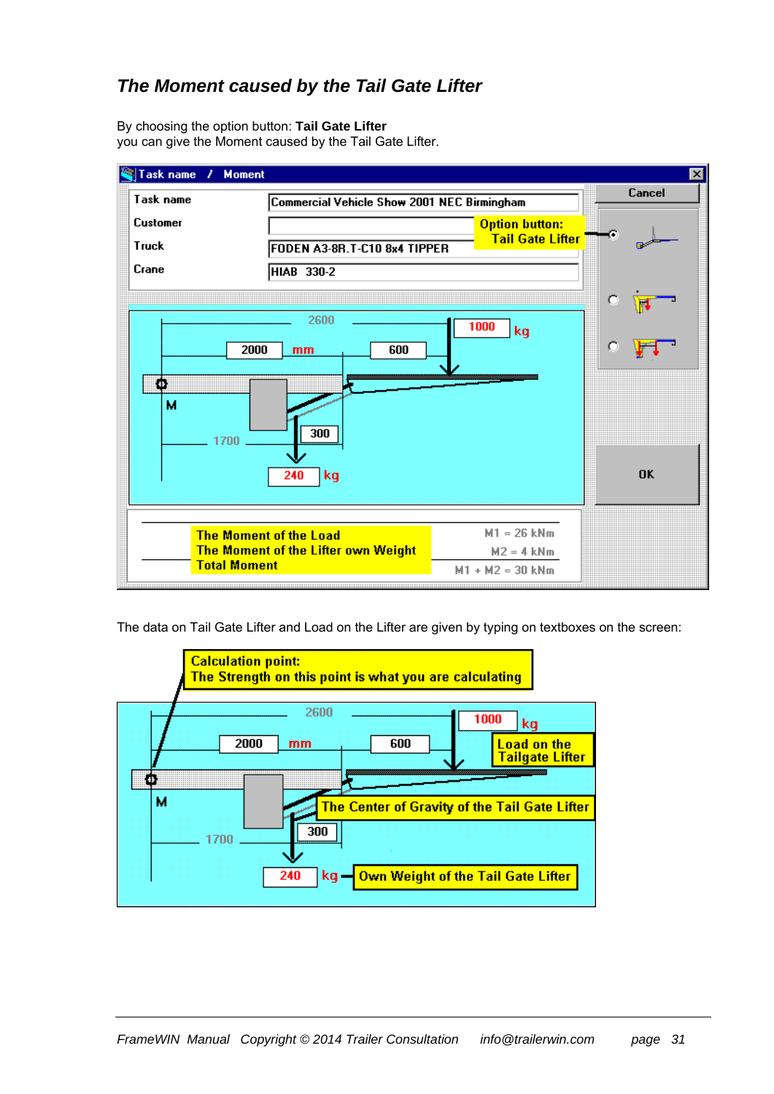### *The Moment caused by the Tail Gate Lifter*

By choosing the option button: **Tail Gate Lifter** you can give the Moment caused by the Tail Gate Lifter.



The data on Tail Gate Lifter and Load on the Lifter are given by typing on textboxes on the screen:

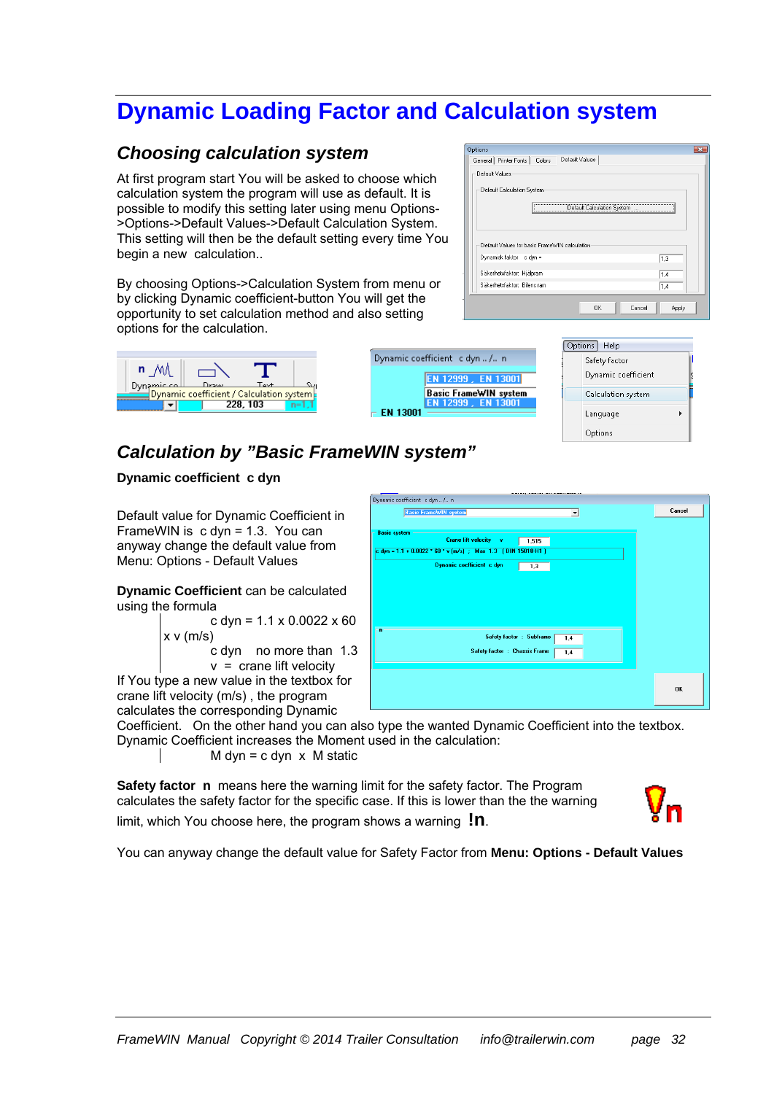## **Dynamic Loading Factor and Calculation system**

#### *Choosing calculation system*

At first program start You will be asked to choose which calculation system the program will use as default. It is possible to modify this setting later using menu Options- >Options->Default Values->Default Calculation System. This setting will then be the default setting every time You begin a new calculation..

By choosing Options->Calculation System from menu or by clicking Dynamic coefficient-button You will get the opportunity to set calculation method and also setting options for the calculation.

| Options                                            |       |
|----------------------------------------------------|-------|
| Default Values<br>General Printer Fonts   Colors   |       |
| Default Values                                     |       |
| Default Calculation System                         |       |
| --------------------<br>Default Calculation System |       |
|                                                    |       |
| Default Values for basic FrameWIN calculation      |       |
| Dynamisk faktor c dyn =                            | 1,3   |
| Säkerhetsfaktor: Hjälpram                          | 1.4   |
| Säkerhetsfaktor: Bilens ram                        | 1.4   |
| Cancel<br>0K                                       | Apply |

Options Help

Safety factor Dynamic coefficient

Language Options

Calculation system

| n                                                                        |          |        |
|--------------------------------------------------------------------------|----------|--------|
| Dynamic coll Draw Text 1 Sq.<br>Dynamic coefficient / Calculation system |          |        |
|                                                                          | 228, 103 | $n=11$ |

### *Calculation by "Basic FrameWIN system"*

#### **Dynamic coefficient c dyn**

Default value for Dynamic Coefficient in FrameWIN is c dyn = 1.3. You can anyway change the default value from Menu: Options - Default Values

**Dynamic Coefficient** can be calculated using the formula

c dyn =  $1.1 \times 0.0022 \times 60$  $x \vee (m/s)$  c dyn no more than 1.3  $v =$  crane lift velocity If You type a new value in the textbox for

crane lift velocity (m/s) , the program calculates the corresponding Dynamic

Coefficient. On the other hand you can also type the wanted Dynamic Coefficient into the textbox.

Dynamic coefficient c dyn ... /.. n

EN 13001

EN 12999. EN 13001 **Basic FrameWIN system** 

Dynamic Coefficient increases the Moment used in the calculation:

 $M$  dyn = c dyn  $x$  M static

limit, which You choose here, the program shows a warning **!n**.

**Safety factor n** means here the warning limit for the safety factor. The Program calculates the safety factor for the specific case. If this is lower than the the warning



You can anyway change the default value for Safety Factor from **Menu: Options - Default Values**

|                     | Dynamic coefficient c dyn  / n                                 |                                 |        |
|---------------------|----------------------------------------------------------------|---------------------------------|--------|
|                     | <b>Basic FrameWIN system</b>                                   | $\blacktriangledown$            | Cancel |
|                     |                                                                |                                 |        |
| <b>Basic system</b> |                                                                |                                 |        |
|                     | <b>Crane lift velocity</b><br><b>In M</b>                      | 1,515                           |        |
|                     | c dyn = $1.1 + 0.0022 * 60 * v (m/s)$ ; Max 1.3 (DIN 15018-H1) |                                 |        |
|                     | Dynamic coefficient c dyn                                      | 1,3                             |        |
|                     |                                                                |                                 |        |
|                     |                                                                |                                 |        |
|                     |                                                                |                                 |        |
|                     |                                                                |                                 |        |
|                     |                                                                |                                 |        |
|                     |                                                                |                                 |        |
| n                   |                                                                |                                 |        |
|                     |                                                                | Safety factor : Subframe<br>1,4 |        |
|                     | Safety factor : Chassis Frame                                  |                                 |        |
|                     |                                                                | 1.4                             |        |
|                     |                                                                |                                 |        |
|                     |                                                                |                                 |        |
|                     |                                                                |                                 |        |
|                     |                                                                |                                 | 0K     |
|                     |                                                                |                                 |        |
|                     |                                                                |                                 |        |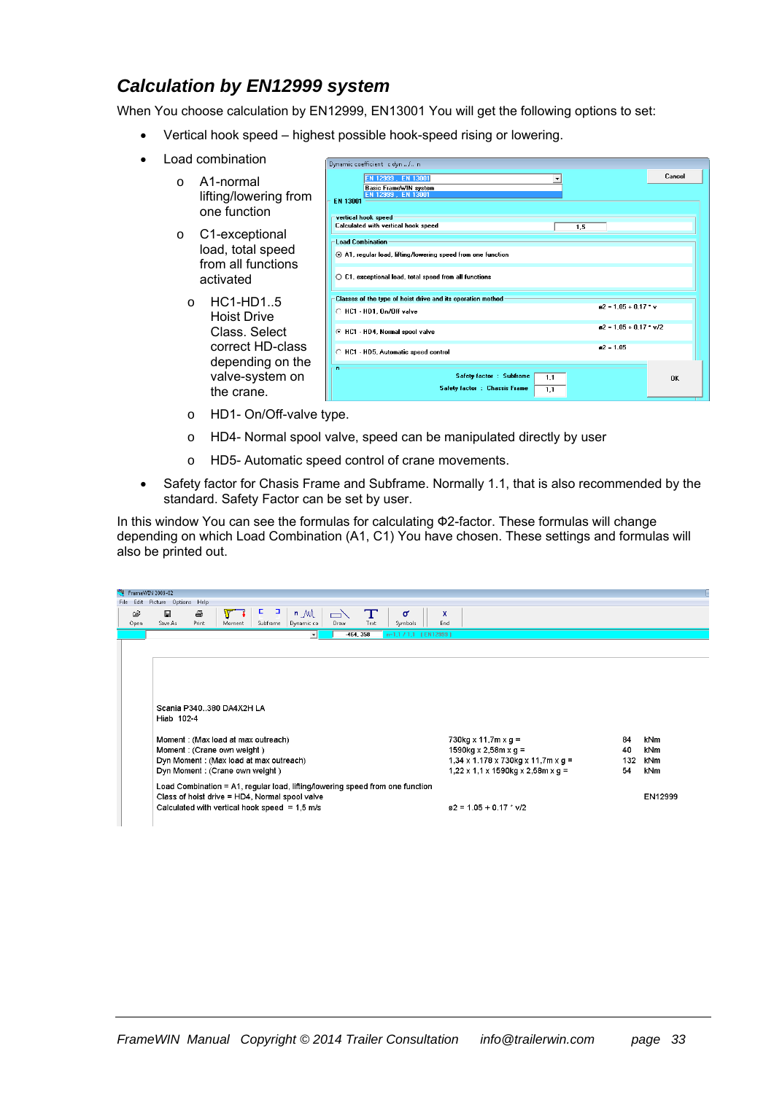### *Calculation by EN12999 system*

When You choose calculation by EN12999, EN13001 You will get the following options to set:

- Vertical hook speed highest possible hook-speed rising or lowering.
- Load combination
	- o A1-normal lifting/lowering from one function
	- o C1-exceptional load, total speed from all functions activated
		- o HC1-HD1..5 Hoist Drive Class. Select correct HD-class depending on the valve-system on the crane.

| EN 12999, EN 13001<br><b>Basic FrameWIN system</b><br>EN 12999, EN 13001<br>EN 13001     |     |             |                          | Cancel    |  |
|------------------------------------------------------------------------------------------|-----|-------------|--------------------------|-----------|--|
| vertical hook speed<br>Calculated with vertical hook speed                               | 1,5 |             |                          |           |  |
| <b>Load Combination</b><br>A1, regular load, lifting/lowering speed from one function    |     |             |                          |           |  |
| $\bigcirc$ C1, exceptional load, total speed from all functions                          |     |             |                          |           |  |
| Classes of the type of hoist drive and its operation method<br>C HC1 - HD1, On/Off valve |     |             | $a2 = 1.05 + 0.17$ * v   |           |  |
| <b>6</b> HC1 - HD4, Normal spool valve                                                   |     |             | $a2 = 1.05 + 0.17$ * v/2 |           |  |
| C HC1 - HD5, Automatic speed control                                                     |     | $a2 = 1.05$ |                          |           |  |
| 'n<br>Safety factor : Subframe<br>1,1<br>Safety factor : Chassis Frame<br>1,1            |     |             |                          | <b>OK</b> |  |

- o HD1- On/Off-valve type.
- o HD4- Normal spool valve, speed can be manipulated directly by user
- o HD5- Automatic speed control of crane movements.
- Safety factor for Chasis Frame and Subframe. Normally 1.1, that is also recommended by the standard. Safety Factor can be set by user.

In this window You can see the formulas for calculating Ф2-factor. These formulas will change depending on which Load Combination (A1, C1) You have chosen. These settings and formulas will also be printed out.

|      | FrameWIN 2009-02 |                           |            |                                |                                        |                                                                               |                |             |                       |                                                               |     |            |
|------|------------------|---------------------------|------------|--------------------------------|----------------------------------------|-------------------------------------------------------------------------------|----------------|-------------|-----------------------|---------------------------------------------------------------|-----|------------|
| File |                  | Edit Picture Options Help |            |                                |                                        |                                                                               |                |             |                       |                                                               |     |            |
|      | œ<br>Open        | Ы<br>Save As              | 4<br>Print | <b>A</b><br>Moment             | F<br>Е                                 | $n \mathcal{M}$<br>Subframe   Dynamic co                                      | $\Box$<br>Draw | т<br>Text   | σ<br>Symbols          | x<br>End                                                      |     |            |
|      |                  |                           |            |                                |                                        | $\mathbf{v}$                                                                  |                | $-464, 358$ | n=1,1 / 1,1 [EN12999] |                                                               |     |            |
|      |                  |                           |            |                                |                                        |                                                                               |                |             |                       |                                                               |     |            |
|      |                  |                           |            |                                |                                        |                                                                               |                |             |                       |                                                               |     |            |
|      |                  |                           |            |                                |                                        |                                                                               |                |             |                       |                                                               |     |            |
|      |                  |                           |            |                                |                                        |                                                                               |                |             |                       |                                                               |     |            |
|      |                  |                           |            |                                |                                        |                                                                               |                |             |                       |                                                               |     |            |
|      |                  |                           |            | Scania P340380 DA4X2H LA       |                                        |                                                                               |                |             |                       |                                                               |     |            |
|      |                  | Hiab 102-4                |            |                                |                                        |                                                                               |                |             |                       |                                                               |     |            |
|      |                  |                           |            |                                |                                        |                                                                               |                |             |                       |                                                               |     |            |
|      |                  |                           |            |                                | Moment: (Max load at max outreach)     |                                                                               |                |             |                       | 730kg x 11,7m x g =                                           | 84  | kNm        |
|      |                  |                           |            | Moment: (Crane own weight)     |                                        |                                                                               |                |             |                       | 1590kg x 2,58m x g =                                          | 40  | <b>kNm</b> |
|      |                  |                           |            |                                | Dyn Moment: (Max load at max outreach) |                                                                               |                |             |                       | $1,34 \times 1.178 \times 730$ kg $\times$ 11,7m $\times$ g = | 132 | <b>kNm</b> |
|      |                  |                           |            | Dyn Moment: (Crane own weight) |                                        |                                                                               |                |             |                       | $1,22 \times 1,1 \times 1590$ kg $\times 2,58$ m $\times$ g = | 54  | <b>kNm</b> |
|      |                  |                           |            |                                |                                        | Load Combination = A1, regular load, lifting/lowering speed from one function |                |             |                       |                                                               |     |            |
|      |                  |                           |            |                                |                                        | Class of hoist drive = HD4, Normal spool valve                                |                |             |                       |                                                               |     | EN12999    |
|      |                  |                           |            |                                |                                        | Calculated with vertical hook speed = $1.5$ m/s                               |                |             |                       | $\alpha$ 2 = 1.05 + 0.17 $\degree$ v/2                        |     |            |
|      |                  |                           |            |                                |                                        |                                                                               |                |             |                       |                                                               |     |            |
|      |                  |                           |            |                                |                                        |                                                                               |                |             |                       |                                                               |     |            |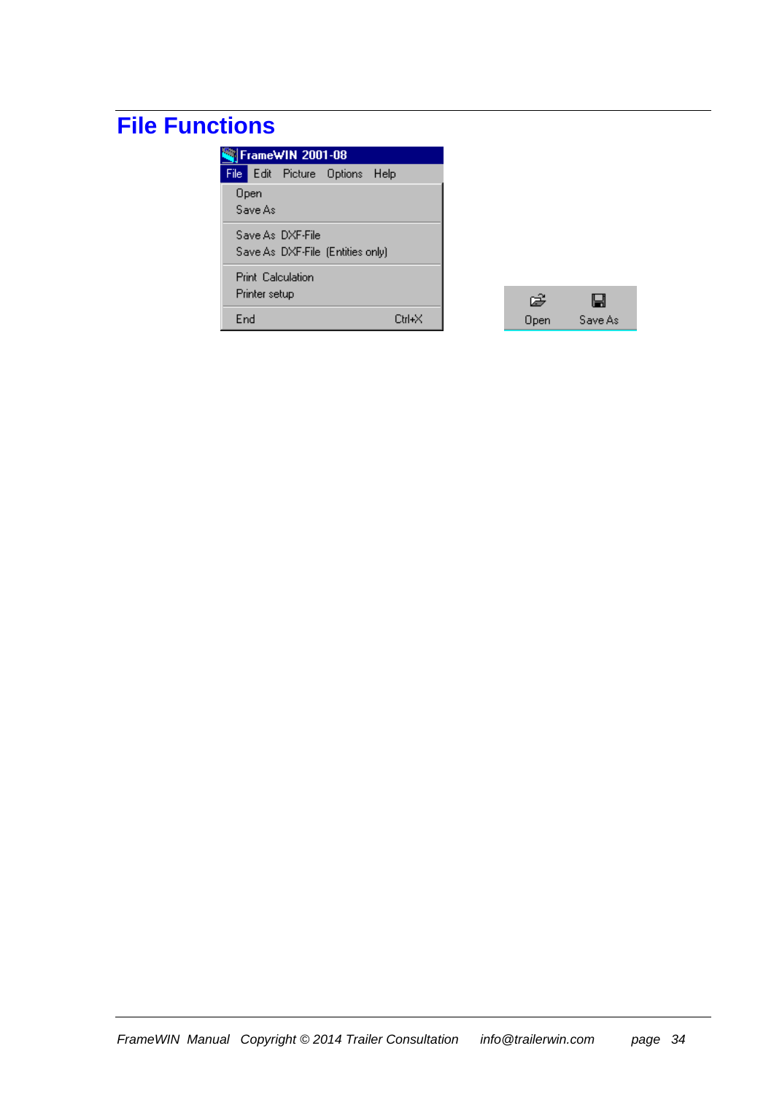# **File Functions**

|     | FrameWIN 2001-08 |                                                      |  |        |  |  |  |  |  |  |
|-----|------------------|------------------------------------------------------|--|--------|--|--|--|--|--|--|
|     |                  | File Edit Picture Options Help                       |  |        |  |  |  |  |  |  |
|     | Open<br>Save As  |                                                      |  |        |  |  |  |  |  |  |
|     |                  | Save As DXF-File<br>Save As DXF-File (Entities only) |  |        |  |  |  |  |  |  |
|     | Printer setup    | Print Calculation                                    |  |        |  |  |  |  |  |  |
| End |                  |                                                      |  | Ctrl+X |  |  |  |  |  |  |

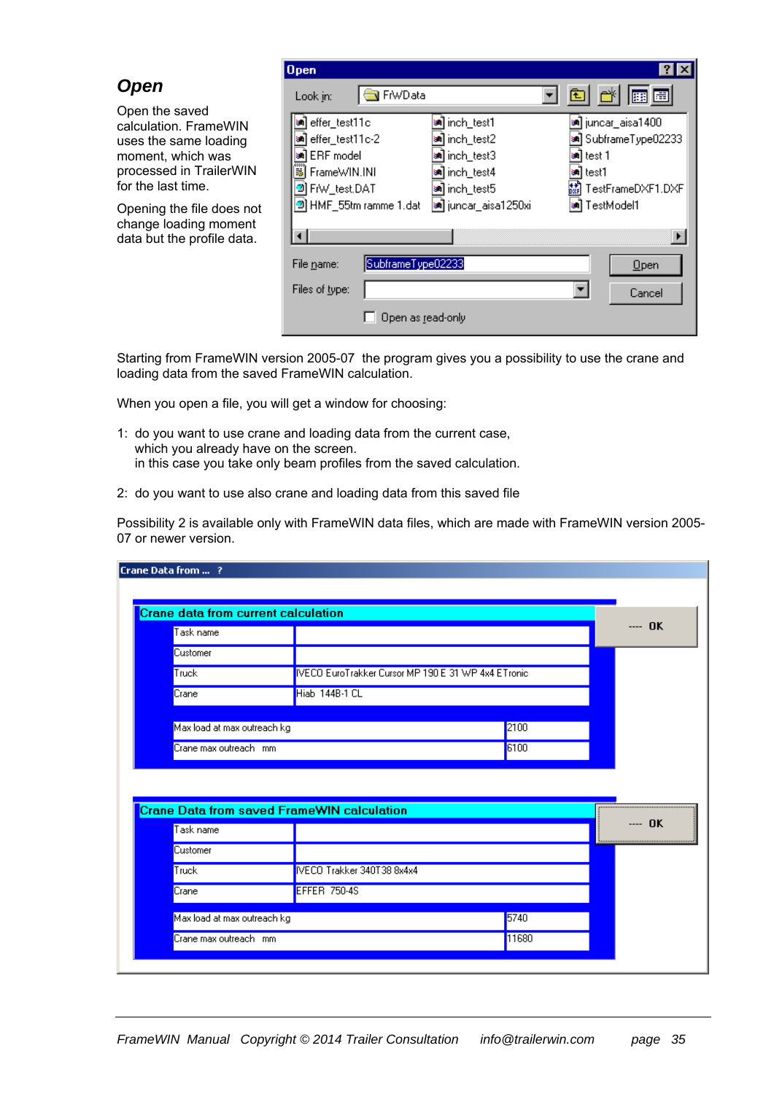|                                                                                                                                        | $\log$                                                                                           |                                                                                                                 |                                                                                                  |
|----------------------------------------------------------------------------------------------------------------------------------------|--------------------------------------------------------------------------------------------------|-----------------------------------------------------------------------------------------------------------------|--------------------------------------------------------------------------------------------------|
| <b>Open</b>                                                                                                                            | Look in:                                                                                         | <b>R</b> FrwData                                                                                                | 囲田<br>国                                                                                          |
| Open the saved<br>calculation. FrameWIN<br>uses the same loading<br>moment, which was<br>processed in TrailerWIN<br>for the last time. | an effer_test11c<br>an effer_test11c-2<br>al ERF model<br>FrameWIN.INI<br>ы<br>FrW_test.DAT<br>ю | l <sup>sa</sup> ] inch_test1<br>l≋] inch_test2<br><mark>sa</mark> ] inch_test3<br>a inch_test4<br>an inch_test5 | <b>®)</b> juncar_aisa1400<br>an] SubframeType02233<br>≋lltest 1<br>≋iltest1<br>TestFrameDXF1.DXF |
| Opening the file does not<br>change loading moment<br>data but the profile data.                                                       | HMF_55tm ramme 1.dat<br>2                                                                        | a] juncar_aisa1250xi                                                                                            | TestModel1                                                                                       |
|                                                                                                                                        | File name:<br>Files of type:                                                                     | SubframeType02233                                                                                               | Qpen<br>Cancel                                                                                   |
|                                                                                                                                        |                                                                                                  | Open as read-only                                                                                               |                                                                                                  |

Starting from FrameWIN version 2005-07 the program gives you a possibility to use the crane and loading data from the saved FrameWIN calculation.

When you open a file, you will get a window for choosing:

- 1: do you want to use crane and loading data from the current case, which you already have on the screen. in this case you take only beam profiles from the saved calculation.
- 2: do you want to use also crane and loading data from this saved file

Possibility 2 is available only with FrameWIN data files, which are made with FrameWIN version 2005- 07 or newer version.

|                             | Crane data from current calculation                 |      |         |
|-----------------------------|-----------------------------------------------------|------|---------|
| Task name                   |                                                     |      | ---- OK |
| Customer                    |                                                     |      |         |
| Truck                       | IVECO EuroTrakker Cursor MP 190 E 31 WP 4x4 ETronic |      |         |
| Crane                       | Hiab 144B-1 CL                                      |      |         |
|                             |                                                     |      |         |
| Max load at max outreach kg |                                                     |      |         |
|                             |                                                     | 2100 |         |
| Crane max outreach mm       |                                                     | 6100 |         |
| Task name                   | <b>Crane Data from saved FrameWIN calculation</b>   |      | ---- OK |
| Customer                    |                                                     |      |         |
| Truck                       | IVECO Trakker 340T38 8x4x4                          |      |         |
| Crane                       | <b>EFFER 750-4S</b>                                 |      |         |
| Max load at max outreach kg |                                                     | 5740 |         |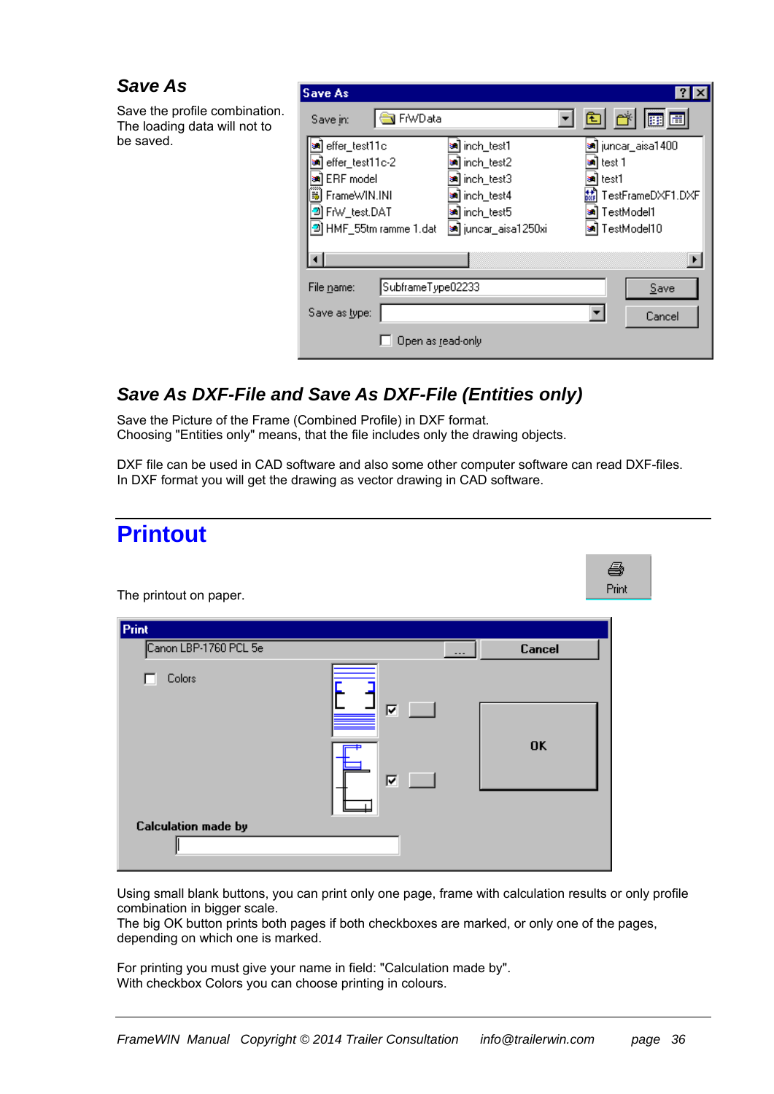#### *Save As*

Save the profile combination. The loading data will not to be saved.

| <b>Save As</b>         |                       |                            |
|------------------------|-----------------------|----------------------------|
| Save in:               | <b>R</b> FrwData      | d d'Ee                     |
| effer_test11c          | inch_test1            | <b>अ</b> ] juncar_aisa1400 |
| effer_test11c-2        | ] inch_test2          | 1 test 1                   |
| an ERF model           | inch_test3            | l test1                    |
| 荡<br>FrameWIN.INI      | <b>sa]</b> inch_test4 | TestFrameDXF1.DXF          |
| FrW_test.DAT           | an] inch_test5        | TestModel1                 |
| 의 HMF_55tm ramme 1.dat | a] juncar_aisa1250xi  | TestModel10                |
|                        |                       |                            |
| File name:             | SubframeType02233     | Save                       |
| Save as type:          |                       | Cancel                     |
|                        | Open as read-only     |                            |

### *Save As DXF-File and Save As DXF-File (Entities only)*

Save the Picture of the Frame (Combined Profile) in DXF format. Choosing "Entities only" means, that the file includes only the drawing objects.

DXF file can be used in CAD software and also some other computer software can read DXF-files. In DXF format you will get the drawing as vector drawing in CAD software.

| <b>Printout</b>                                                    |       |
|--------------------------------------------------------------------|-------|
|                                                                    | 4     |
| The printout on paper.                                             | Print |
| Print                                                              |       |
| Canon LBP-1760 PCL 5e<br>Cancel<br>---                             |       |
| Colors<br>Ε<br>$\overline{\mathbf{v}}$<br>a seri<br><b>OK</b><br>⊽ |       |
| <b>Calculation made by</b>                                         |       |

Using small blank buttons, you can print only one page, frame with calculation results or only profile combination in bigger scale.

The big OK button prints both pages if both checkboxes are marked, or only one of the pages, depending on which one is marked.

For printing you must give your name in field: "Calculation made by". With checkbox Colors you can choose printing in colours.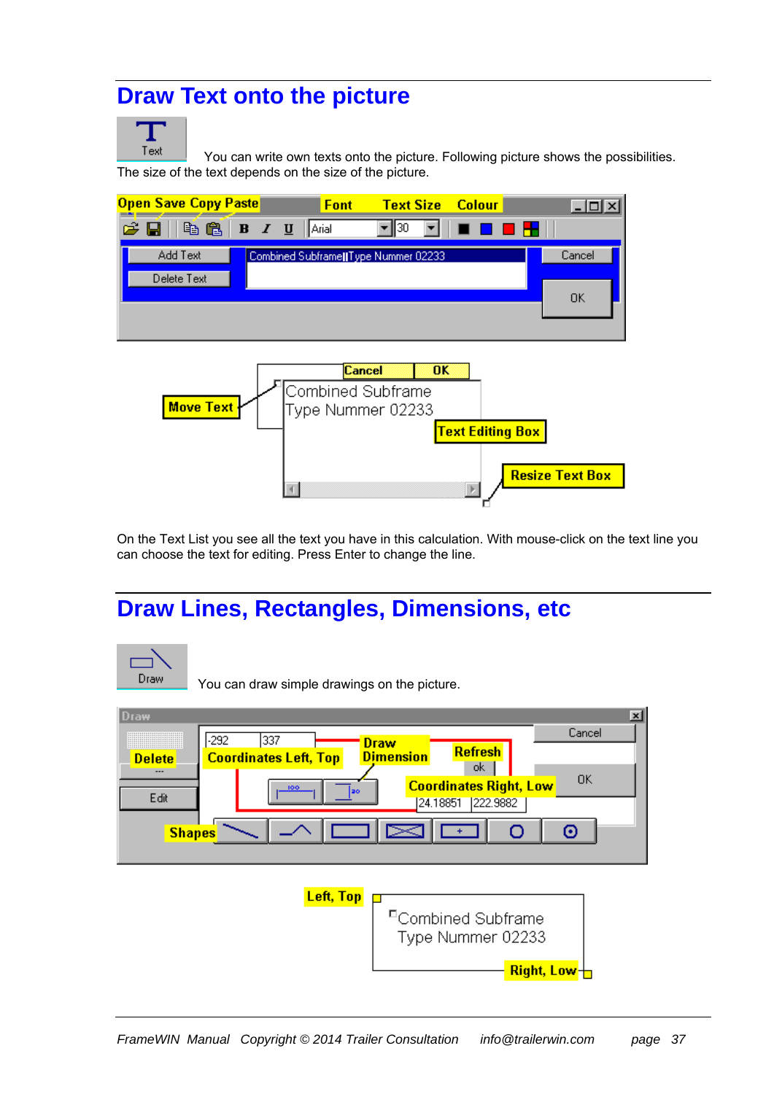## **Draw Text onto the picture**



 You can write own texts onto the picture. Following picture shows the possibilities. The size of the text depends on the size of the picture.





On the Text List you see all the text you have in this calculation. With mouse-click on the text line you can choose the text for editing. Press Enter to change the line.

## **Draw Lines, Rectangles, Dimensions, etc**



You can draw simple drawings on the picture.

| <b>Draw</b>                     | $\vert x \vert$                                                           |
|---------------------------------|---------------------------------------------------------------------------|
| <br>,,,,,,,,,,,,,,,,,,,,,,,,,,, | Cancel<br>337<br>$-292$<br><b>Draw</b>                                    |
| <b>Delete</b>                   | <b>Refresh</b><br><b>Dimension</b><br><b>Coordinates Left, Top</b><br>ok. |
| ---                             | 0K<br><b>Coordinates Right, Low</b><br>100                                |
| Edit                            | lao<br>222.9882<br>24.18851                                               |
| <b>Shapes</b>                   | O<br>$\geq$<br>⊙                                                          |
|                                 |                                                                           |
|                                 | Left, Top                                                                 |
|                                 | <sup>E</sup> Combined Subframe                                            |
|                                 | Type Nummer 02233                                                         |
|                                 | Right, Low-                                                               |
|                                 |                                                                           |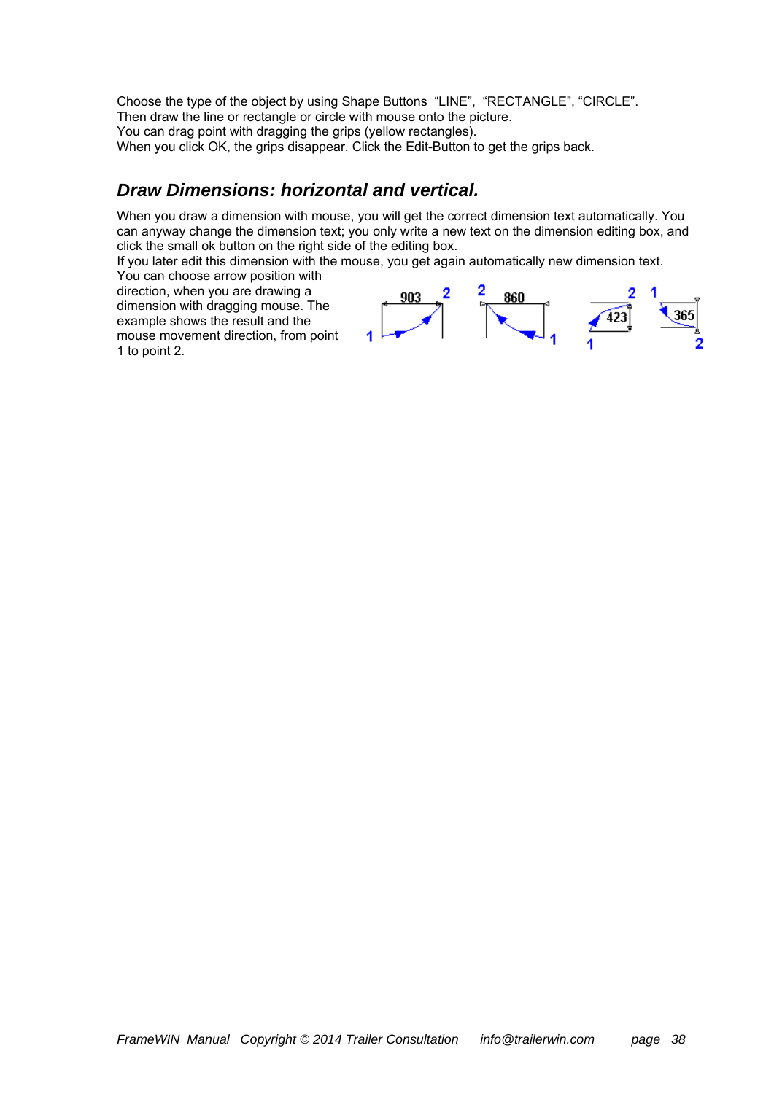Choose the type of the object by using Shape Buttons "LINE", "RECTANGLE", "CIRCLE". Then draw the line or rectangle or circle with mouse onto the picture. You can drag point with dragging the grips (yellow rectangles). When you click OK, the grips disappear. Click the Edit-Button to get the grips back.

#### *Draw Dimensions: horizontal and vertical.*

When you draw a dimension with mouse, you will get the correct dimension text automatically. You can anyway change the dimension text; you only write a new text on the dimension editing box, and click the small ok button on the right side of the editing box.

If you later edit this dimension with the mouse, you get again automatically new dimension text.

You can choose arrow position with direction, when you are drawing a dimension with dragging mouse. The example shows the result and the mouse movement direction, from point 1 to point 2.

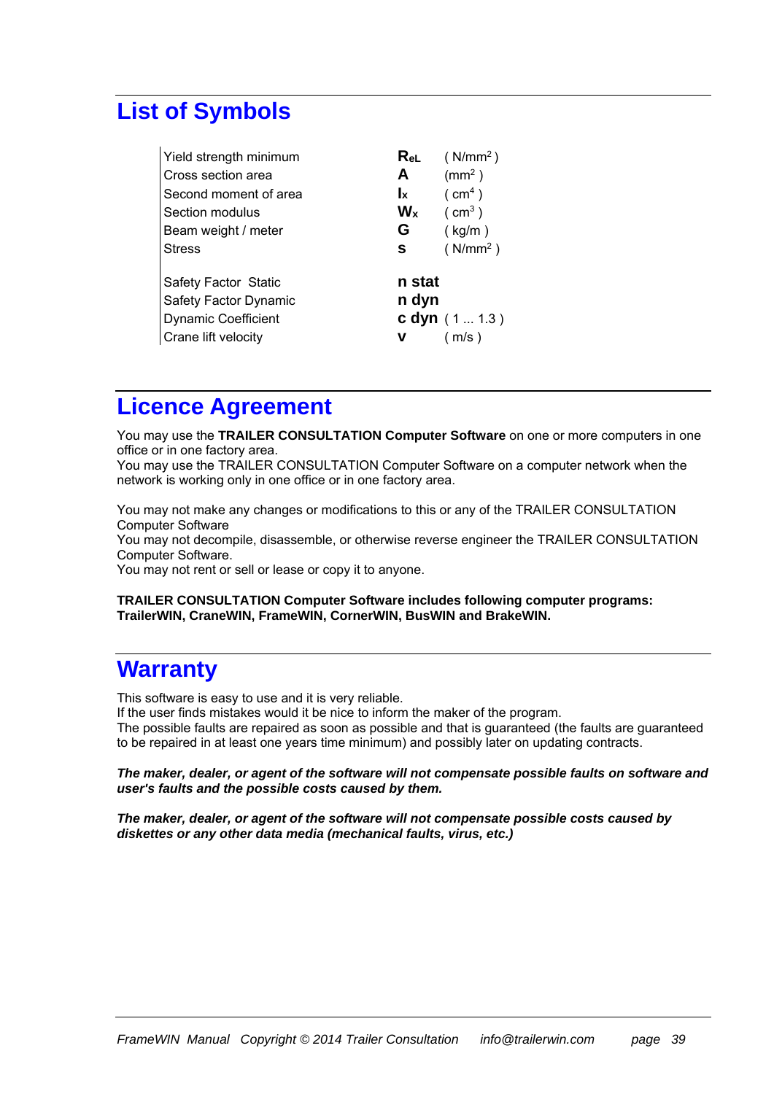## **List of Symbols**

| Yield strength minimum      | ReL                       | (N/mm <sup>2</sup> ) |
|-----------------------------|---------------------------|----------------------|
| Cross section area          | A                         | $\rm (mm^2)$         |
| Second moment of area       | $\mathbf{I}_{\mathbf{X}}$ | ( cm <sup>4</sup> )  |
| Section modulus             | $W_{x}$                   | $\text{cm}^3$ )      |
| Beam weight / meter         | G                         | (kg/m)               |
| <b>Stress</b>               | s                         | (N/mm <sup>2</sup> ) |
|                             |                           |                      |
| <b>Safety Factor Static</b> | n stat                    |                      |
| Safety Factor Dynamic       | n dyn                     |                      |
| <b>Dynamic Coefficient</b>  |                           | c dyn $(11.3)$       |
| Crane lift velocity         | ν                         | (m/s)                |

## **Licence Agreement**

You may use the **TRAILER CONSULTATION Computer Software** on one or more computers in one office or in one factory area.

You may use the TRAILER CONSULTATION Computer Software on a computer network when the network is working only in one office or in one factory area.

You may not make any changes or modifications to this or any of the TRAILER CONSULTATION Computer Software

You may not decompile, disassemble, or otherwise reverse engineer the TRAILER CONSULTATION Computer Software.

You may not rent or sell or lease or copy it to anyone.

#### **TRAILER CONSULTATION Computer Software includes following computer programs: TrailerWIN, CraneWIN, FrameWIN, CornerWIN, BusWIN and BrakeWIN.**

### **Warranty**

This software is easy to use and it is very reliable.

If the user finds mistakes would it be nice to inform the maker of the program.

The possible faults are repaired as soon as possible and that is guaranteed (the faults are guaranteed to be repaired in at least one years time minimum) and possibly later on updating contracts.

#### *The maker, dealer, or agent of the software will not compensate possible faults on software and user's faults and the possible costs caused by them.*

*The maker, dealer, or agent of the software will not compensate possible costs caused by diskettes or any other data media (mechanical faults, virus, etc.)*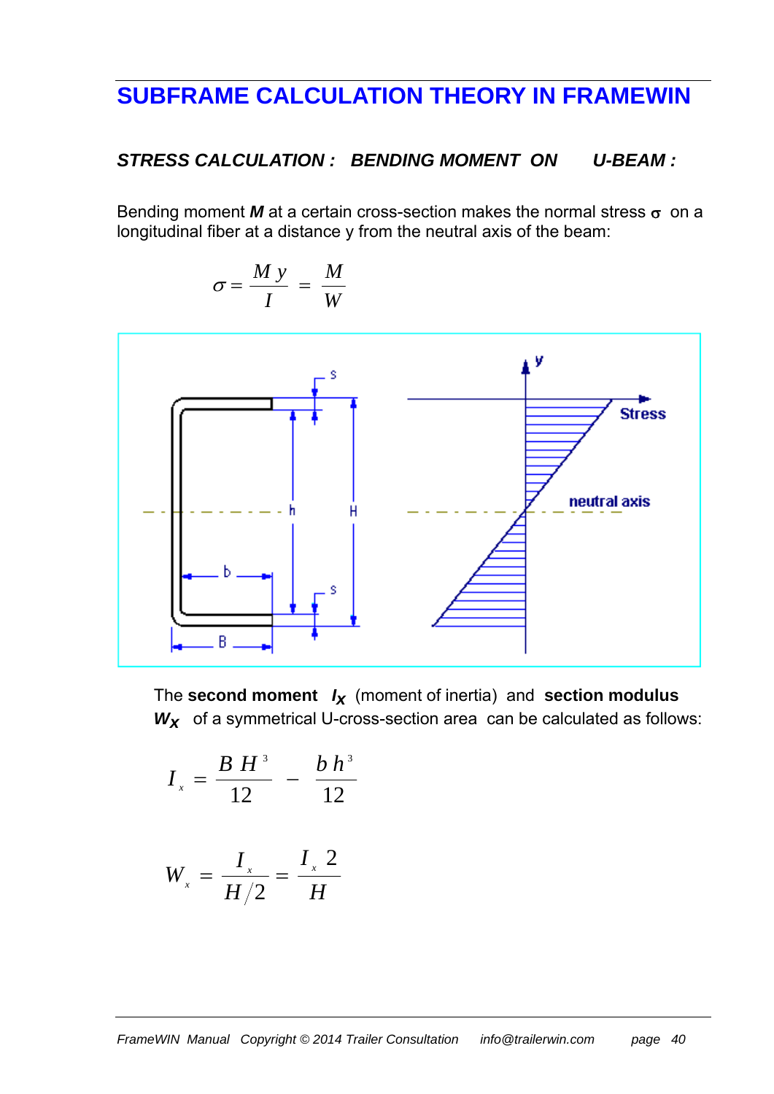## **SUBFRAME CALCULATION THEORY IN FRAMEWIN**

#### *STRESS CALCULATION : BENDING MOMENT ON U-BEAM :*

Bending moment  $M$  at a certain cross-section makes the normal stress  $\sigma$  on a longitudinal fiber at a distance y from the neutral axis of the beam:

$$
\sigma = \frac{M y}{I} = \frac{M}{W}
$$



The **second moment** *Ix* (moment of inertia) and **section modulus**  W<sub>x</sub> of a symmetrical U-cross-section area can be calculated as follows:

$$
I_{x} = \frac{B H^{3}}{12} - \frac{b h^{3}}{12}
$$

$$
W_x = \frac{I_x}{H/2} = \frac{I_x}{H}
$$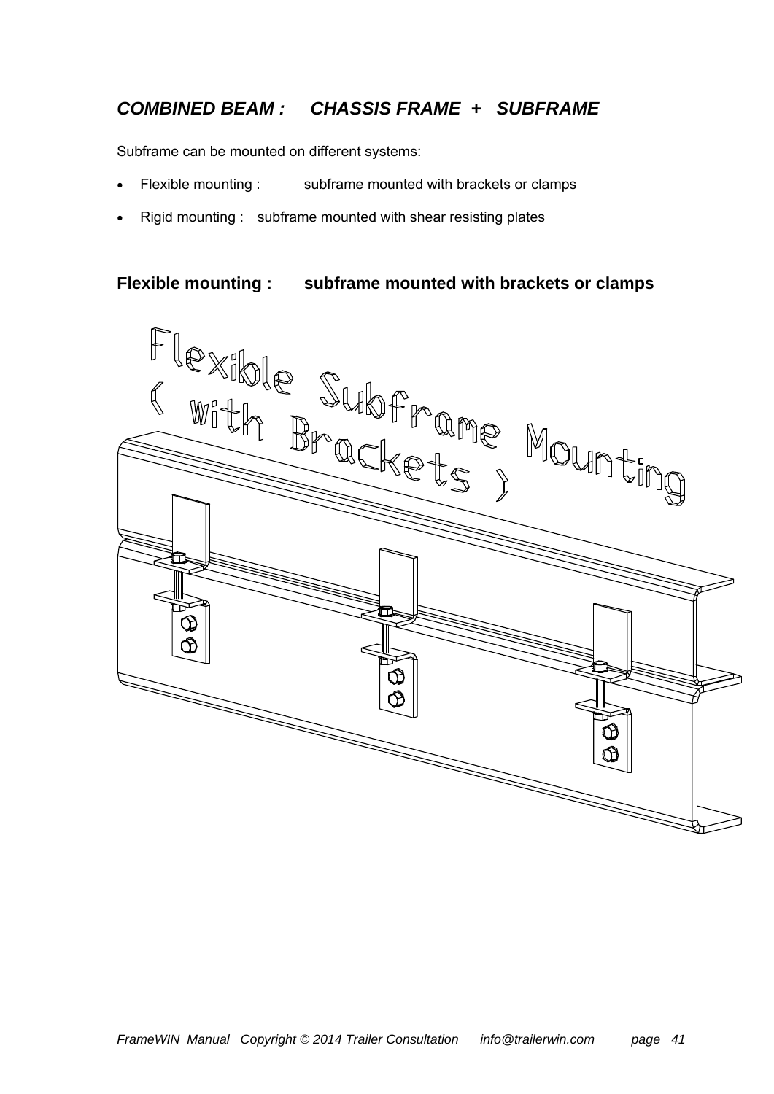### *COMBINED BEAM : CHASSIS FRAME + SUBFRAME*

Subframe can be mounted on different systems:

- Flexible mounting : subframe mounted with brackets or clamps
- Rigid mounting : subframe mounted with shear resisting plates

#### **Flexible mounting : subframe mounted with brackets or clamps**

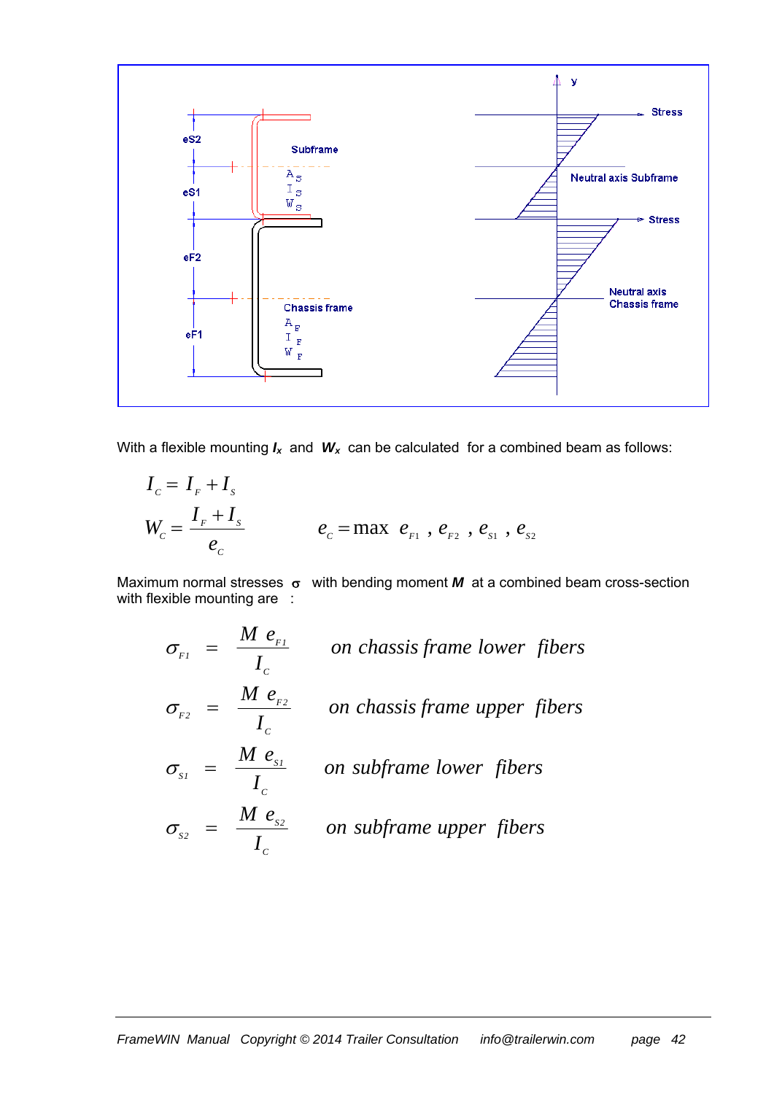

With a flexible mounting  $I_x$  and  $W_x$  can be calculated for a combined beam as follows:

$$
I_c = I_F + I_s
$$
  
\n
$$
W_c = \frac{I_F + I_s}{e_c}
$$
  $e_c = \max e_{F_1}, e_{F_2}, e_{S_1}, e_{S_2}$ 

Maximum normal stresses  $\sigma$  with bending moment  $M$  at a combined beam cross-section with flexible mounting are :

$$
\sigma_{F1} = \frac{M e_{F1}}{I_c}
$$
 on chassis frame lower fibers  
\n
$$
\sigma_{F2} = \frac{M e_{F2}}{I_c}
$$
 on chassis frame upper fibers  
\n
$$
\sigma_{S1} = \frac{M e_{S1}}{I_c}
$$
 on subframe lower fibers  
\n
$$
\sigma_{S2} = \frac{M e_{S2}}{I_c}
$$
 on subframe upper fibers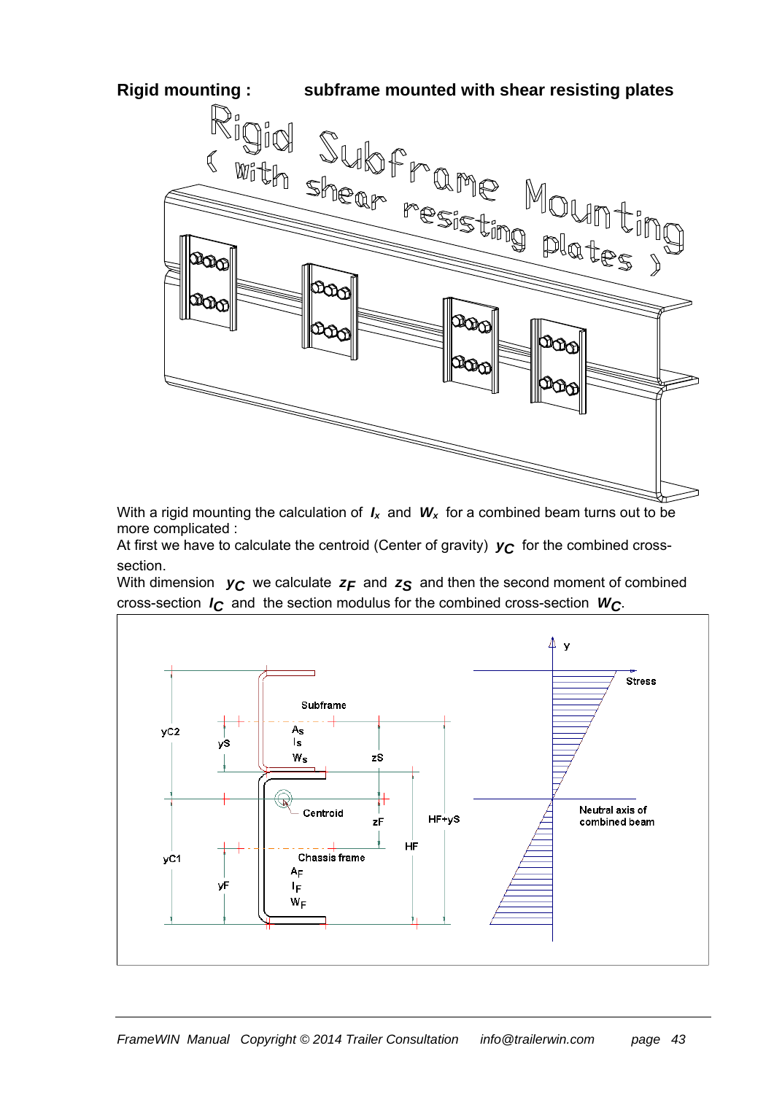

With a rigid mounting the calculation of  $I_x$  and  $W_x$  for a combined beam turns out to be more complicated :

At first we have to calculate the centroid (Center of gravity)  $y_C$  for the combined crosssection.

With dimension  $y_C$  we calculate  $z_F$  and  $z_S$  and then the second moment of combined cross-section *IC* and the section modulus for the combined cross-section *WC*.

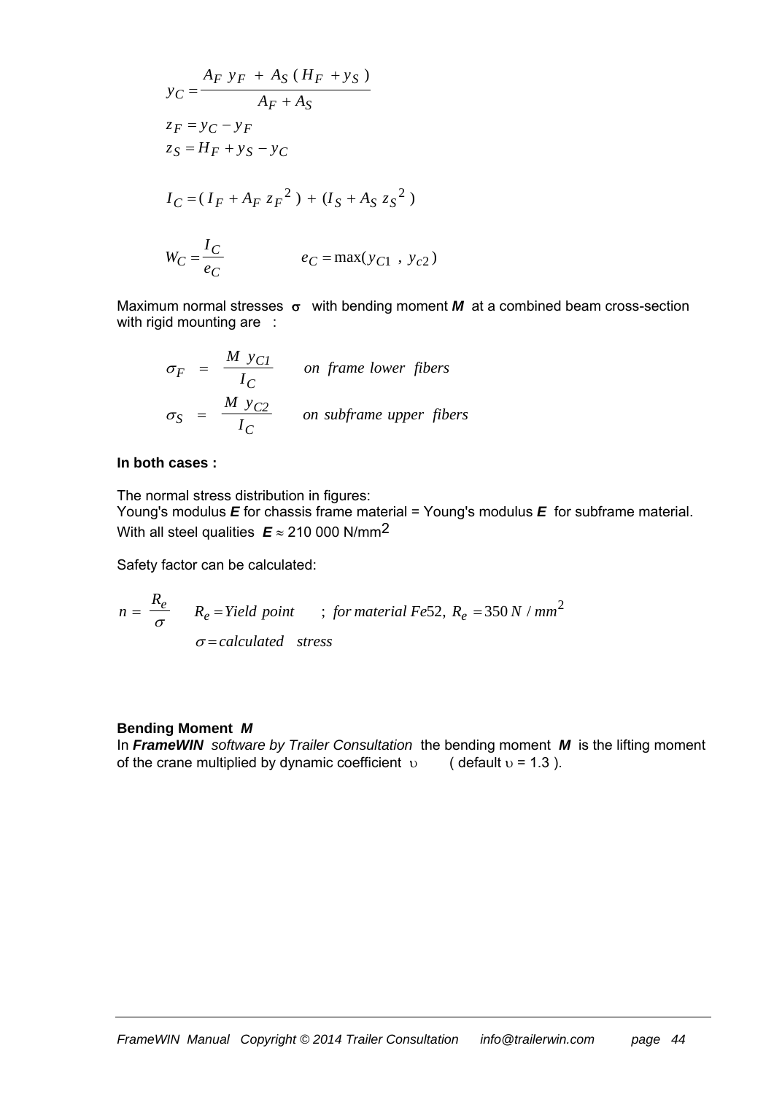$$
y_C = \frac{A_F y_F + A_S (H_F + y_S)}{A_F + A_S}
$$
  
\n
$$
z_F = y_C - y_F
$$
  
\n
$$
z_S = H_F + y_S - y_C
$$
  
\n
$$
I_C = (I_F + A_F z_F^2) + (I_S + A_S z_S^2)
$$
  
\n
$$
W_C = \frac{I_C}{e_C}
$$
  
\n
$$
e_C = \max(y_{C1}, y_{C2})
$$

Maximum normal stresses  $\sigma$  with bending moment  $M$  at a combined beam cross-section with rigid mounting are :

$$
\sigma_F = \frac{M y_{Cl}}{I_C}
$$
 on frame lower fibers  
\n
$$
\sigma_S = \frac{M y_{C2}}{I_C}
$$
 on subframe upper fibers

#### **In both cases :**

The normal stress distribution in figures:

Young's modulus *E* for chassis frame material = Young's modulus *E* for subframe material. With all steel qualities  $E \approx 210000 \text{ N/mm}^2$ 

Safety factor can be calculated:

$$
n = \frac{R_e}{\sigma} \qquad R_e = Yield \; point \qquad ; \; for \; material \; Fe52, \; R_e = 350 \; N / mm^2
$$
\n
$$
\sigma = calculated \; stress
$$

#### **Bending Moment** *M*

In *FrameWIN software by Trailer Consultation* the bending moment *M* is the lifting moment of the crane multiplied by dynamic coefficient  $\upsilon$  (default  $\upsilon$  = 1.3).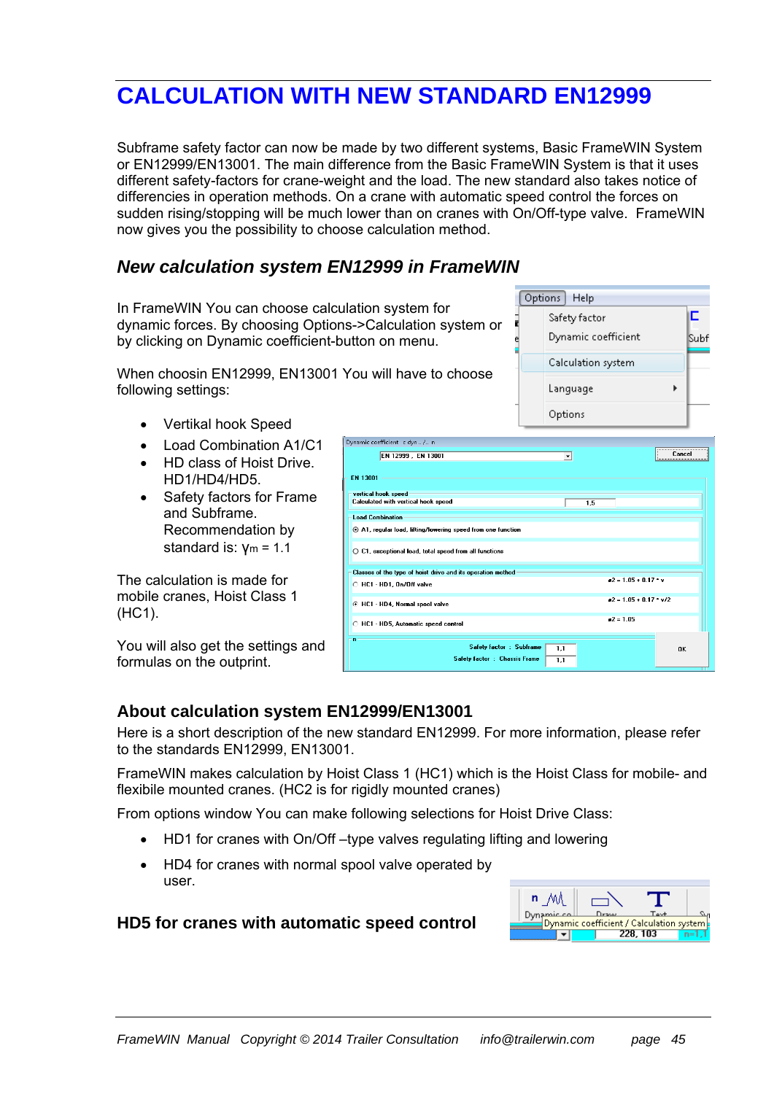## **CALCULATION WITH NEW STANDARD EN12999**

Subframe safety factor can now be made by two different systems, Basic FrameWIN System or EN12999/EN13001. The main difference from the Basic FrameWIN System is that it uses different safety-factors for crane-weight and the load. The new standard also takes notice of differencies in operation methods. On a crane with automatic speed control the forces on sudden rising/stopping will be much lower than on cranes with On/Off-type valve. FrameWIN now gives you the possibility to choose calculation method.

#### *New calculation system EN12999 in FrameWIN*

In FrameWIN You can choose calculation system for dynamic forces. By choosing Options->Calculation system or by clicking on Dynamic coefficient-button on menu.

When choosin EN12999, EN13001 You will have to choose following settings:

- Vertikal hook Speed
- Load Combination A1/C1
- HD class of Hoist Drive. HD1/HD4/HD5.
- Safety factors for Frame and Subframe. Recommendation by standard is: γm = 1.1

The calculation is made for mobile cranes, Hoist Class 1 (HC1).

You will also get the settings and formulas on the outprint.

|                                                                       | Options              |                            |
|-----------------------------------------------------------------------|----------------------|----------------------------|
| Dynamic coefficient c dyn  / n                                        |                      |                            |
| EN 12999, EN 13001                                                    | $\blacktriangledown$ | Cancel                     |
| EN 13001                                                              |                      |                            |
| vertical hook speed<br>Calculated with vertical hook speed            | 1,5                  |                            |
| <b>Load Combination</b>                                               |                      |                            |
| A1, regular load, lifting/lowering speed from one function            |                      |                            |
| $\bigcirc$ C1, exceptional load, total speed from all functions       |                      |                            |
| Classes of the type of hoist drive and its operation method           |                      |                            |
| C HC1 - HD1, On/Off valve                                             |                      | $a2 = 1.05 + 0.17$ * v     |
| C HC1 - HD4, Normal spool valve                                       |                      | $a2 = 1.05 + 0.17$ * $v/2$ |
| C HC1 - HD5, Automatic speed control                                  |                      | $a2 = 1.05$                |
| n<br>Safety factor : Subframe<br><b>Safety factor : Chassis Frame</b> | 1.1<br>1.1           | OK                         |

Options Help

Safety factor Dynamic coefficient

Language

Calculation system

E.

**Subf** 

k

#### **About calculation system EN12999/EN13001**

Here is a short description of the new standard EN12999. For more information, please refer to the standards EN12999, EN13001.

FrameWIN makes calculation by Hoist Class 1 (HC1) which is the Hoist Class for mobile- and flexibile mounted cranes. (HC2 is for rigidly mounted cranes)

From options window You can make following selections for Hoist Drive Class:

- HD1 for cranes with On/Off –type valves regulating lifting and lowering
- HD4 for cranes with normal spool valve operated by user.

| n           |      |                                          |  |
|-------------|------|------------------------------------------|--|
| Dynamic co. | Draw | $T_{\alpha\alpha}+$                      |  |
|             |      | Dynamic coefficient / Calculation system |  |
|             |      | 228, 103                                 |  |

#### **HD5 for cranes with automatic speed control**